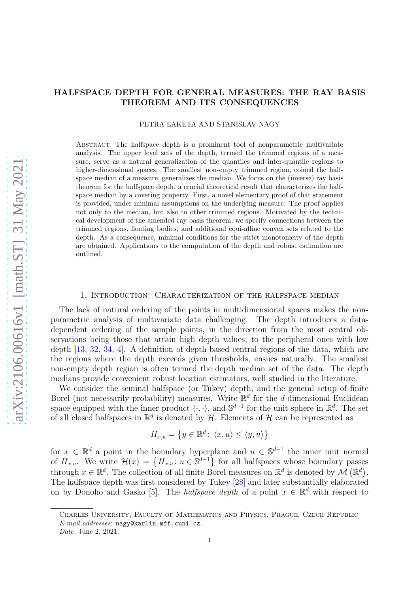# HALFSPACE DEPTH FOR GENERAL MEASURES: THE RAY BASIS THEOREM AND ITS CONSEQUENCES

PETRA LAKETA AND STANISLAV NAGY

Abstract. The halfspace depth is a prominent tool of nonparametric multivariate analysis. The upper level sets of the depth, termed the trimmed regions of a measure, serve as a natural generalization of the quantiles and inter-quantile regions to higher-dimensional spaces. The smallest non-empty trimmed region, coined the halfspace median of a measure, generalizes the median. We focus on the (inverse) ray basis theorem for the halfspace depth, a crucial theoretical result that characterizes the halfspace median by a covering property. First, a novel elementary proof of that statement is provided, under minimal assumptions on the underlying measure. The proof applies not only to the median, but also to other trimmed regions. Motivated by the technical development of the amended ray basis theorem, we specify connections between the trimmed regions, floating bodies, and additional equi-affine convex sets related to the depth. As a consequence, minimal conditions for the strict monotonicity of the depth are obtained. Applications to the computation of the depth and robust estimation are outlined.

# 1. Introduction: Characterization of the halfspace median

The lack of natural ordering of the points in multidimensional spaces makes the nonparametric analysis of multivariate data challenging. The depth introduces a datadependent ordering of the sample points, in the direction from the most central observations being those that attain high depth values, to the peripheral ones with low depth [\[13](#page-29-0), [32,](#page-30-0) [34,](#page-30-1) [4](#page-29-1)]. A definition of depth-based central regions of the data, which are the regions where the depth exceeds given thresholds, ensues naturally. The smallest non-empty depth region is often termed the depth median set of the data. The depth medians provide convenient robust location estimators, well studied in the literature.

We consider the seminal halfspace (or Tukey) depth, and the general setup of finite Borel (not necessarily probability) measures. Write  $\mathbb{R}^d$  for the d-dimensional Euclidean space equipped with the inner product  $\langle \cdot, \cdot \rangle$ , and  $\mathbb{S}^{d-1}$  for the unit sphere in  $\mathbb{R}^d$ . The set of all closed halfspaces in  $\mathbb{R}^d$  is denoted by  $\mathcal H$ . Elements of  $\mathcal H$  can be represented as

$$
H_{x,u} = \left\{ y \in \mathbb{R}^d \colon \left\langle x, u \right\rangle \le \left\langle y, u \right\rangle \right\}
$$

for  $x \in \mathbb{R}^d$  a point in the boundary hyperplane and  $u \in \mathbb{S}^{d-1}$  the inner unit normal of  $H_{x,u}$ . We write  $\mathcal{H}(x) = \{H_{x,u}: u \in \mathbb{S}^{d-1}\}\$  for all halfspaces whose boundary passes through  $x \in \mathbb{R}^d$ . The collection of all finite Borel measures on  $\mathbb{R}^d$  is denoted by  $\mathcal{M}(\mathbb{R}^d)$ . The halfspace depth was first considered by Tukey [\[28\]](#page-30-2) and later substantially elaborated on by Donoho and Gasko [\[5](#page-29-2)]. The *halfspace depth* of a point  $x \in \mathbb{R}^d$  with respect to

1

Charles University, Faculty of Mathematics and Physics, Prague, Czech Republic  $E\text{-}mail addresses:$  nagy@karlin.mff.cuni.cz.

Date: June 2, 2021.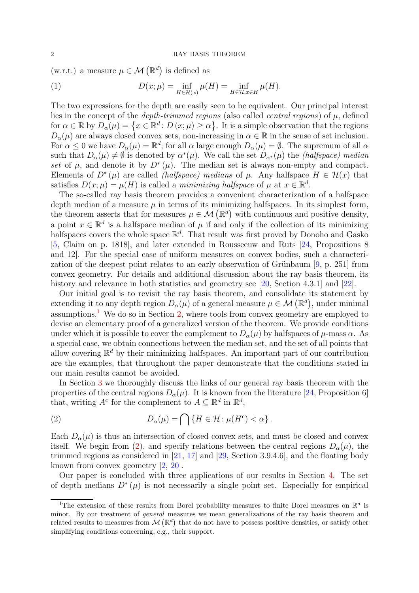(w.r.t.) a measure  $\mu \in \mathcal{M}(\mathbb{R}^d)$  is defined as

<span id="page-1-2"></span>(1) 
$$
D(x; \mu) = \inf_{H \in \mathcal{H}(x)} \mu(H) = \inf_{H \in \mathcal{H}, x \in H} \mu(H).
$$

The two expressions for the depth are easily seen to be equivalent. Our principal interest lies in the concept of the *depth-trimmed regions* (also called *central regions*) of  $\mu$ , defined for  $\alpha \in \mathbb{R}$  by  $D_{\alpha}(\mu) = \{x \in \mathbb{R}^d : D(x; \mu) \ge \alpha\}$ . It is a simple observation that the regions  $D_{\alpha}(\mu)$  are always closed convex sets, non-increasing in  $\alpha \in \mathbb{R}$  in the sense of set inclusion. For  $\alpha \leq 0$  we have  $D_{\alpha}(\mu) = \mathbb{R}^{d}$ ; for all  $\alpha$  large enough  $D_{\alpha}(\mu) = \emptyset$ . The supremum of all  $\alpha$ such that  $D_{\alpha}(\mu) \neq \emptyset$  is denoted by  $\alpha^*(\mu)$ . We call the set  $D_{\alpha^*}(\mu)$  the *(halfspace) median* set of  $\mu$ , and denote it by  $D^*(\mu)$ . The median set is always non-empty and compact. Elements of  $D^*(\mu)$  are called *(halfspace) medians* of  $\mu$ . Any halfspace  $H \in \mathcal{H}(x)$  that satisfies  $D(x; \mu) = \mu(H)$  is called a *minimizing halfspace* of  $\mu$  at  $x \in \mathbb{R}^d$ .

The so-called ray basis theorem provides a convenient characterization of a halfspace depth median of a measure  $\mu$  in terms of its minimizing halfspaces. In its simplest form, the theorem asserts that for measures  $\mu \in \mathcal{M}(\mathbb{R}^d)$  with continuous and positive density, a point  $x \in \mathbb{R}^d$  is a halfspace median of  $\mu$  if and only if the collection of its minimizing halfspaces covers the whole space  $\mathbb{R}^d$ . That result was first proved by Donoho and Gasko [\[5](#page-29-2), Claim on p. 1818], and later extended in Rousseeuw and Ruts [\[24,](#page-30-3) Propositions 8 and 12]. For the special case of uniform measures on convex bodies, such a characterization of the deepest point relates to an early observation of Grünbaum  $[9, p. 251]$  from convex geometry. For details and additional discussion about the ray basis theorem, its history and relevance in both statistics and geometry see [\[20,](#page-29-4) Section 4.3.1] and [\[22\]](#page-29-5).

Our initial goal is to revisit the ray basis theorem, and consolidate its statement by extending it to any depth region  $D_{\alpha}(\mu)$  of a general measure  $\mu \in \mathcal{M}(\mathbb{R}^d)$ , under minimal assumptions.<sup>[1](#page-1-0)</sup> We do so in Section [2,](#page-3-0) where tools from convex geometry are employed to devise an elementary proof of a generalized version of the theorem. We provide conditions under which it is possible to cover the complement to  $D_{\alpha}(\mu)$  by halfspaces of  $\mu$ -mass  $\alpha$ . As a special case, we obtain connections between the median set, and the set of all points that allow covering  $\mathbb{R}^d$  by their minimizing halfspaces. An important part of our contribution are the examples, that throughout the paper demonstrate that the conditions stated in our main results cannot be avoided.

In Section [3](#page-8-0) we thoroughly discuss the links of our general ray basis theorem with the properties of the central regions  $D_{\alpha}(\mu)$ . It is known from the literature [\[24,](#page-30-3) Proposition 6] that, writing  $A^c$  for the complement to  $A \subseteq \mathbb{R}^d$  in  $\mathbb{R}^d$ ,

<span id="page-1-1"></span>(2) 
$$
D_{\alpha}(\mu) = \bigcap \{ H \in \mathcal{H} : \mu(H^{c}) < \alpha \}.
$$

Each  $D_{\alpha}(\mu)$  is thus an intersection of closed convex sets, and must be closed and convex itself. We begin from [\(2\)](#page-1-1), and specify relations between the central regions  $D_{\alpha}(\mu)$ , the trimmed regions as considered in  $[21, 17]$  $[21, 17]$  $[21, 17]$  and  $[29, Section 3.9.4.6]$ , and the floating body known from convex geometry [\[2](#page-28-0), [20](#page-29-4)].

Our paper is concluded with three applications of our results in Section [4.](#page-10-0) The set of depth medians  $D^*(\mu)$  is not necessarily a single point set. Especially for empirical

<span id="page-1-0"></span><sup>&</sup>lt;sup>1</sup>The extension of these results from Borel probability measures to finite Borel measures on  $\mathbb{R}^d$  is minor. By our treatment of general measures we mean generalizations of the ray basis theorem and related results to measures from  $\mathcal{M}(\mathbb{R}^d)$  that do not have to possess positive densities, or satisfy other simplifying conditions concerning, e.g., their support.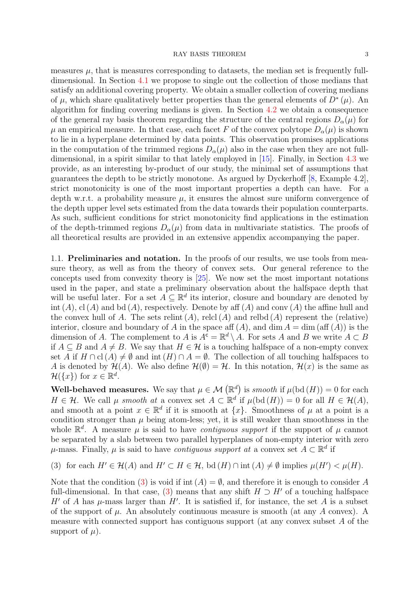measures  $\mu$ , that is measures corresponding to datasets, the median set is frequently fulldimensional. In Section [4.1](#page-10-1) we propose to single out the collection of those medians that satisfy an additional covering property. We obtain a smaller collection of covering medians of  $\mu$ , which share qualitatively better properties than the general elements of  $D^*(\mu)$ . An algorithm for finding covering medians is given. In Section [4.2](#page-13-0) we obtain a consequence of the general ray basis theorem regarding the structure of the central regions  $D_{\alpha}(\mu)$  for  $\mu$  an empirical measure. In that case, each facet F of the convex polytope  $D_{\alpha}(\mu)$  is shown to lie in a hyperplane determined by data points. This observation promises applications in the computation of the trimmed regions  $D_{\alpha}(\mu)$  also in the case when they are not fulldimensional, in a spirit similar to that lately employed in [\[15](#page-29-8)]. Finally, in Section [4.3](#page-13-1) we provide, as an interesting by-product of our study, the minimal set of assumptions that guarantees the depth to be strictly monotone. As argued by Dyckerhoff [\[8](#page-29-9), Example 4.2], strict monotonicity is one of the most important properties a depth can have. For a depth w.r.t. a probability measure  $\mu$ , it ensures the almost sure uniform convergence of the depth upper level sets estimated from the data towards their population counterparts. As such, sufficient conditions for strict monotonicity find applications in the estimation of the depth-trimmed regions  $D_{\alpha}(\mu)$  from data in multivariate statistics. The proofs of all theoretical results are provided in an extensive appendix accompanying the paper.

1.1. Preliminaries and notation. In the proofs of our results, we use tools from measure theory, as well as from the theory of convex sets. Our general reference to the concepts used from convexity theory is [\[25\]](#page-30-5). We now set the most important notations used in the paper, and state a preliminary observation about the halfspace depth that will be useful later. For a set  $A \subseteq \mathbb{R}^d$  its interior, closure and boundary are denoted by int  $(A)$ ,  $cl(A)$  and  $bd(A)$ , respectively. Denote by aff  $(A)$  and conv  $(A)$  the affine hull and the convex hull of A. The sets relint  $(A)$ , relef  $(A)$  and relbd  $(A)$  represent the (relative) interior, closure and boundary of A in the space aff  $(A)$ , and dim  $A = \dim (\text{aff } (A))$  is the dimension of A. The complement to A is  $A^{\tilde{c}} = \mathbb{R}^d \setminus A$ . For sets A and B we write  $A \subset B$ if  $A \subseteq B$  and  $A \neq B$ . We say that  $H \in \mathcal{H}$  is a touching halfspace of a non-empty convex set A if  $H \cap cl(A) \neq \emptyset$  and int  $(H) \cap A = \emptyset$ . The collection of all touching halfspaces to A is denoted by  $\mathcal{H}(A)$ . We also define  $\mathcal{H}(\emptyset) = \mathcal{H}$ . In this notation,  $\mathcal{H}(x)$  is the same as  $\mathcal{H}(\lbrace x \rbrace)$  for  $x \in \mathbb{R}^d$ .

Well-behaved measures. We say that  $\mu \in \mathcal{M}(\mathbb{R}^d)$  is *smooth* if  $\mu(\text{bd}(H)) = 0$  for each  $H \in \mathcal{H}$ . We call  $\mu$  *smooth at* a convex set  $A \subset \mathbb{R}^d$  if  $\mu(\text{bd}(H)) = 0$  for all  $H \in \mathcal{H}(A)$ , and smooth at a point  $x \in \mathbb{R}^d$  if it is smooth at  $\{x\}$ . Smoothness of  $\mu$  at a point is a condition stronger than  $\mu$  being atom-less; yet, it is still weaker than smoothness in the whole  $\mathbb{R}^d$ . A measure  $\mu$  is said to have *contiguous support* if the support of  $\mu$  cannot be separated by a slab between two parallel hyperplanes of non-empty interior with zero  $\mu$ -mass. Finally,  $\mu$  is said to have *contiguous support at* a convex set  $A \subset \mathbb{R}^d$  if

<span id="page-2-0"></span>(3) for each 
$$
H' \in \mathcal{H}(A)
$$
 and  $H' \subset H \in \mathcal{H}$ , bd  $(H) \cap \text{int}(A) \neq \emptyset$  implies  $\mu(H') < \mu(H)$ .

Note that the condition [\(3\)](#page-2-0) is void if int  $(A) = \emptyset$ , and therefore it is enough to consider A full-dimensional. In that case, [\(3\)](#page-2-0) means that any shift  $H \supset H'$  of a touching halfspace H' of A has  $\mu$ -mass larger than H'. It is satisfied if, for instance, the set A is a subset of the support of  $\mu$ . An absolutely continuous measure is smooth (at any A convex). A measure with connected support has contiguous support (at any convex subset A of the support of  $\mu$ ).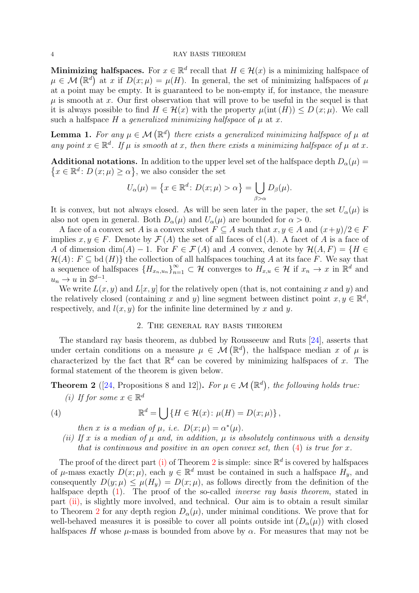Minimizing halfspaces. For  $x \in \mathbb{R}^d$  recall that  $H \in \mathcal{H}(x)$  is a minimizing halfspace of  $\mu \in \mathcal{M}(\mathbb{R}^d)$  at x if  $D(x; \mu) = \mu(H)$ . In general, the set of minimizing halfspaces of  $\mu$ at a point may be empty. It is guaranteed to be non-empty if, for instance, the measure  $\mu$  is smooth at x. Our first observation that will prove to be useful in the sequel is that it is always possible to find  $H \in \mathcal{H}(x)$  with the property  $\mu(\text{int}(H)) \leq D(x;\mu)$ . We call such a halfspace  $H$  a *generalized minimizing halfspace* of  $\mu$  at  $x$ .

<span id="page-3-5"></span>**Lemma 1.** For any  $\mu \in \mathcal{M}(\mathbb{R}^d)$  there exists a generalized minimizing halfspace of  $\mu$  at *any point*  $x \in \mathbb{R}^d$ . If  $\mu$  *is smooth at* x, then there exists a minimizing halfspace of  $\mu$  at x.

**Additional notations.** In addition to the upper level set of the halfspace depth  $D_{\alpha}(\mu)$  =  $\{x \in \mathbb{R}^d : D(x; \mu) \ge \alpha\}$ , we also consider the set

$$
U_{\alpha}(\mu) = \{x \in \mathbb{R}^d \colon D(x; \mu) > \alpha\} = \bigcup_{\beta > \alpha} D_{\beta}(\mu).
$$

It is convex, but not always closed. As will be seen later in the paper, the set  $U_{\alpha}(\mu)$  is also not open in general. Both  $D_{\alpha}(\mu)$  and  $U_{\alpha}(\mu)$  are bounded for  $\alpha > 0$ .

A face of a convex set A is a convex subset  $F \subseteq A$  such that  $x, y \in A$  and  $(x+y)/2 \in F$ implies  $x, y \in F$ . Denote by  $\mathcal{F}(A)$  the set of all faces of cl(A). A facet of A is a face of A of dimension dim(A) – 1. For  $F \in \mathcal{F}(A)$  and A convex, denote by  $\mathcal{H}(A, F) = \{H \in$  $\mathcal{H}(A): F \subseteq \text{bd}(H)$  the collection of all halfspaces touching A at its face F. We say that a sequence of halfspaces  ${H_{x_n,u_n}}_{n=1}^{\infty} \subset \mathcal{H}$  converges to  $H_{x,u} \in \mathcal{H}$  if  $x_n \to x$  in  $\mathbb{R}^d$  and  $u_n \to u$  in  $\mathbb{S}^{d-1}$ .

We write  $L(x, y)$  and  $L[x, y]$  for the relatively open (that is, not containing x and y) and the relatively closed (containing x and y) line segment between distinct point  $x, y \in \mathbb{R}^d$ , respectively, and  $l(x, y)$  for the infinite line determined by x and y.

# 2. The general ray basis theorem

<span id="page-3-0"></span>The standard ray basis theorem, as dubbed by Rousseeuw and Ruts [\[24](#page-30-3)], asserts that under certain conditions on a measure  $\mu \in \mathcal{M}(\mathbb{R}^d)$ , the halfspace median x of  $\mu$  is characterized by the fact that  $\mathbb{R}^d$  can be covered by minimizing halfspaces of x. The formal statement of the theorem is given below.

<span id="page-3-3"></span><span id="page-3-2"></span>**Theorem 2** ([\[24,](#page-30-3) Propositions 8 and 12]). *For*  $\mu \in \mathcal{M}(\mathbb{R}^d)$ , the following holds true:

(*i*) If for some  $x \in \mathbb{R}^d$ 

(4) 
$$
\mathbb{R}^d = \bigcup \{ H \in \mathcal{H}(x) : \mu(H) = D(x; \mu) \},
$$

<span id="page-3-1"></span>*then* x *is a median of*  $\mu$ *, i.e.*  $D(x; \mu) = \alpha^*(\mu)$ *.* 

<span id="page-3-4"></span>*(ii)* If x is a median of  $\mu$  and, in addition,  $\mu$  is absolutely continuous with a density *that is continuous and positive in an open convex set, then* [\(4\)](#page-3-1) *is true for* x*.*

The proof of the direct part [\(i\)](#page-3-2) of Theorem [2](#page-3-3) is simple: since  $\mathbb{R}^d$  is covered by halfspaces of  $\mu$ -mass exactly  $D(x; \mu)$ , each  $y \in \mathbb{R}^d$  must be contained in such a halfspace  $H_y$ , and consequently  $D(y; \mu) \leq \mu(H_y) = D(x; \mu)$ , as follows directly from the definition of the halfspace depth  $(1)$ . The proof of the so-called *inverse ray basis theorem*, stated in part [\(ii\),](#page-3-4) is slightly more involved, and technical. Our aim is to obtain a result similar to Theorem [2](#page-3-3) for any depth region  $D_{\alpha}(\mu)$ , under minimal conditions. We prove that for well-behaved measures it is possible to cover all points outside int  $(D_{\alpha}(\mu))$  with closed halfspaces H whose  $\mu$ -mass is bounded from above by  $\alpha$ . For measures that may not be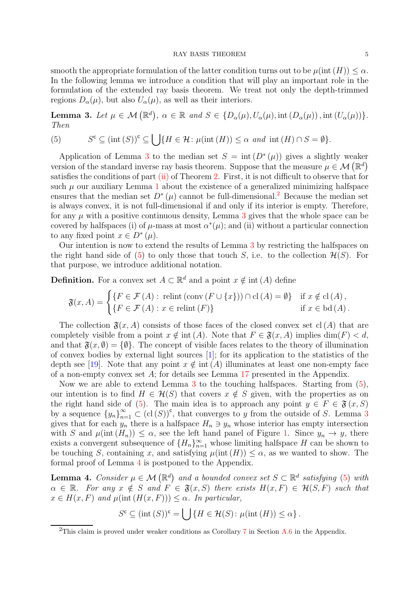smooth the appropriate formulation of the latter condition turns out to be  $\mu$ (int  $(H)$ )  $\leq \alpha$ . In the following lemma we introduce a condition that will play an important role in the formulation of the extended ray basis theorem. We treat not only the depth-trimmed regions  $D_{\alpha}(\mu)$ , but also  $U_{\alpha}(\mu)$ , as well as their interiors.

<span id="page-4-0"></span>**Lemma 3.** Let  $\mu \in \mathcal{M}(\mathbb{R}^d)$ ,  $\alpha \in \mathbb{R}$  and  $S \in \{D_\alpha(\mu), U_\alpha(\mu), \text{int}(D_\alpha(\mu)), \text{int}(U_\alpha(\mu))\}.$ *Then*

<span id="page-4-2"></span>(5) 
$$
S^c \subseteq (\text{int}(S))^c \subseteq \bigcup \{ H \in \mathcal{H} : \mu(\text{int}(H)) \le \alpha \text{ and } \text{int}(H) \cap S = \emptyset \}.
$$

Application of Lemma [3](#page-4-0) to the median set  $S = \text{int} (D^*(\mu))$  gives a slightly weaker version of the standard inverse ray basis theorem. Suppose that the measure  $\mu \in \mathcal{M}(\mathbb{R}^d)$ satisfies the conditions of part  $(ii)$  of Theorem [2.](#page-3-3) First, it is not difficult to observe that for such  $\mu$  our auxiliary Lemma [1](#page-3-5) about the existence of a generalized minimizing halfspace ensures that the median set  $D^*(\mu)$  cannot be full-dimensional.<sup>[2](#page-4-1)</sup> Because the median set is always convex, it is not full-dimensional if and only if its interior is empty. Therefore, for any  $\mu$  with a positive continuous density, Lemma [3](#page-4-0) gives that the whole space can be covered by halfspaces (i) of  $\mu$ -mass at most  $\alpha^*(\mu)$ ; and (ii) without a particular connection to any fixed point  $x \in D^*(\mu)$ .

Our intention is now to extend the results of Lemma [3](#page-4-0) by restricting the halfspaces on the right hand side of [\(5\)](#page-4-2) to only those that touch S, i.e. to the collection  $\mathcal{H}(S)$ . For that purpose, we introduce additional notation.

**Definition.** For a convex set  $A \subset \mathbb{R}^d$  and a point  $x \notin \text{int}(A)$  define

$$
\mathfrak{F}(x, A) = \begin{cases} \{F \in \mathcal{F}(A) : \text{relint}(\text{conv}(F \cup \{x\})) \cap \text{cl}(A) = \emptyset\} & \text{if } x \notin \text{cl}(A), \\ \{F \in \mathcal{F}(A) : x \in \text{relint}(F)\} & \text{if } x \in \text{bd}(A). \end{cases}
$$

The collection  $\mathfrak{F}(x, A)$  consists of those faces of the closed convex set cl(A) that are completely visible from a point  $x \notin \text{int}(A)$ . Note that  $F \in \mathfrak{F}(x, A)$  implies  $\dim(F) < d$ , and that  $\mathfrak{F}(x, \emptyset) = \{\emptyset\}$ . The concept of visible faces relates to the theory of illumination of convex bodies by external light sources [\[1](#page-28-1)]; for its application to the statistics of the depth see [\[19\]](#page-29-10). Note that any point  $x \notin \text{int}(A)$  illuminates at least one non-empty face of a non-empty convex set A; for details see Lemma [17](#page-14-0) presented in the Appendix.

Now we are able to extend Lemma [3](#page-4-0) to the touching halfspaces. Starting from [\(5\)](#page-4-2), our intention is to find  $H \in \mathcal{H}(S)$  that covers  $x \notin S$  given, with the properties as on the right hand side of [\(5\)](#page-4-2). The main idea is to approach any point  $y \in F \in \mathfrak{F}(x, S)$ by a sequence  ${y_n}_{n=1}^{\infty} \subset (cl(S))^c$ , that converges to y from the outside of S. Lemma [3](#page-4-0) gives that for each  $y_n$  there is a halfspace  $H_n \ni y_n$  whose interior has empty intersection with S and  $\mu(\text{int}(H_n)) \leq \alpha$ , see the left hand panel of Figure [1.](#page-5-0) Since  $y_n \to y$ , there exists a convergent subsequence of  ${H_n}_{n=1}^{\infty}$  whose limiting halfspace H can be shown to be touching S, containing x, and satisfying  $\mu(int(H)) \leq \alpha$ , as we wanted to show. The formal proof of Lemma [4](#page-4-3) is postponed to the Appendix.

<span id="page-4-3"></span>**Lemma 4.** *Consider*  $\mu \in \mathcal{M}(\mathbb{R}^d)$  and a bounded convex set  $S \subset \mathbb{R}^d$  satisfying [\(5\)](#page-4-2) with  $\alpha \in \mathbb{R}$ *. For any*  $x \notin S$  *and*  $F \in \mathfrak{F}(x, S)$  *there exists*  $H(x, F) \in \mathcal{H}(S, F)$  *such that*  $x \in H(x, F)$  *and*  $\mu(\text{int}(H(x, F))) \leq \alpha$ . In particular,

$$
S^{c} \subseteq (\text{int } (S))^{c} = \bigcup \{ H \in \mathcal{H}(S) \colon \mu(\text{int } (H)) \leq \alpha \} .
$$

<span id="page-4-1"></span><sup>&</sup>lt;sup>2</sup>This claim is proved under weaker conditions as Corollary  $7$  in Section [A.6](#page-16-0) in the Appendix.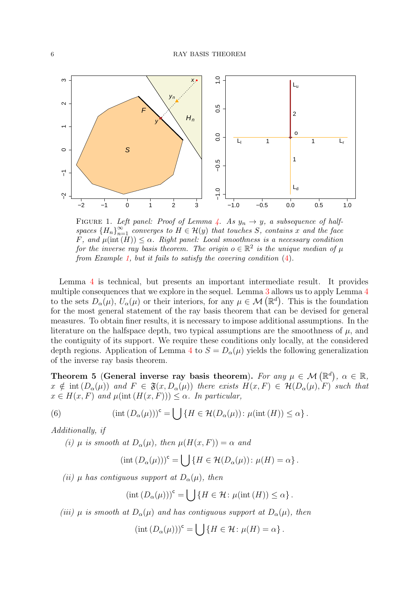<span id="page-5-0"></span>

FIGURE 1. Left panel: Proof of Lemma [4.](#page-4-3) As  $y_n \to y$ , a subsequence of halfspaces  ${H_n}_{n=1}^{\infty}$  converges to  $H \in \mathcal{H}(y)$  that touches S, contains x and the face F, and  $\mu(\text{int}(\overline{H})) \leq \alpha$ . Right panel: Local smoothness is a necessary condition for the inverse ray basis theorem. The origin  $o \in \mathbb{R}^2$  is the unique median of  $\mu$ from Example [1,](#page-7-0) but it fails to satisfy the covering condition [\(4\)](#page-3-1).

Lemma [4](#page-4-3) is technical, but presents an important intermediate result. It provides multiple consequences that we explore in the sequel. Lemma [3](#page-4-0) allows us to apply Lemma [4](#page-4-3) to the sets  $D_{\alpha}(\mu)$ ,  $U_{\alpha}(\mu)$  or their interiors, for any  $\mu \in \mathcal{M}(\mathbb{R}^d)$ . This is the foundation for the most general statement of the ray basis theorem that can be devised for general measures. To obtain finer results, it is necessary to impose additional assumptions. In the literature on the halfspace depth, two typical assumptions are the smoothness of  $\mu$ , and the contiguity of its support. We require these conditions only locally, at the considered depth regions. Application of Lemma [4](#page-4-3) to  $S = D_{\alpha}(\mu)$  yields the following generalization of the inverse ray basis theorem.

<span id="page-5-1"></span>Theorem 5 (General inverse ray basis theorem). *For any*  $\mu \in \mathcal{M}(\mathbb{R}^d)$ ,  $\alpha \in \mathbb{R}$ ,  $x \notin \text{int}(D_{\alpha}(\mu))$  and  $F \in \mathfrak{F}(x, D_{\alpha}(\mu))$  there exists  $H(x, F) \in \mathcal{H}(D_{\alpha}(\mu), F)$  such that  $x \in H(x, F)$  *and*  $\mu$ (int  $(H(x, F)) \leq \alpha$ *. In particular,* 

(6) 
$$
(\text{int } (D_{\alpha}(\mu)))^{\mathsf{c}} = \bigcup \{ H \in \mathcal{H}(D_{\alpha}(\mu)) \colon \mu(\text{int }(H)) \leq \alpha \}.
$$

<span id="page-5-4"></span>*Additionally, if*

*(i)*  $\mu$  *is smooth at*  $D_{\alpha}(\mu)$ *, then*  $\mu(H(x, F)) = \alpha$  *and* 

<span id="page-5-3"></span>
$$
(\mathrm{int} (D_{\alpha}(\mu)))^{\mathsf{c}} = \bigcup \{ H \in \mathcal{H}(D_{\alpha}(\mu)) \colon \mu(H) = \alpha \}.
$$

<span id="page-5-2"></span>*(ii)*  $\mu$  *has contiguous support at*  $D_{\alpha}(\mu)$ *, then* 

$$
(\mathrm{int}\,(D_{\alpha}(\mu)))^{\mathsf{c}} = \bigcup \{ H \in \mathcal{H} \colon \mu(\mathrm{int}\,(H)) \leq \alpha \} .
$$

<span id="page-5-5"></span>*(iii)*  $\mu$  *is smooth at*  $D_{\alpha}(\mu)$  *and has contiguous support at*  $D_{\alpha}(\mu)$ *, then* 

$$
(\mathrm{int}\,(D_{\alpha}(\mu)))^{\mathsf{c}} = \bigcup \{ H \in \mathcal{H} \colon \mu(H) = \alpha \}.
$$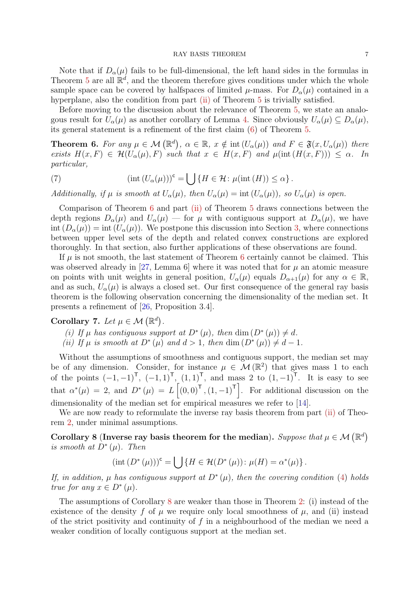Note that if  $D_{\alpha}(\mu)$  fails to be full-dimensional, the left hand sides in the formulas in Theorem [5](#page-5-1) are all  $\mathbb{R}^d$ , and the theorem therefore gives conditions under which the whole sample space can be covered by halfspaces of limited  $\mu$ -mass. For  $D_{\alpha}(\mu)$  contained in a hyperplane, also the condition from part [\(ii\)](#page-5-2) of Theorem [5](#page-5-1) is trivially satisfied.

Before moving to the discussion about the relevance of Theorem [5,](#page-5-1) we state an analogous result for  $U_{\alpha}(\mu)$  as another corollary of Lemma [4.](#page-4-3) Since obviously  $U_{\alpha}(\mu) \subseteq D_{\alpha}(\mu)$ , its general statement is a refinement of the first claim [\(6\)](#page-5-3) of Theorem [5.](#page-5-1)

<span id="page-6-1"></span>**Theorem 6.** For any  $\mu \in \mathcal{M}(\mathbb{R}^d)$ ,  $\alpha \in \mathbb{R}$ ,  $x \notin \text{int}(U_\alpha(\mu))$  and  $F \in \mathfrak{F}(x, U_\alpha(\mu))$  there *exists*  $H(x, F) \in \mathcal{H}(U_\alpha(\mu), F)$  *such that*  $x \in H(x, F)$  *and*  $\mu(\text{int}(H(x, F))) \leq \alpha$ . In *particular,*

<span id="page-6-3"></span>(7) 
$$
(\text{int } (U_{\alpha}(\mu)))^{c} = \bigcup \{ H \in \mathcal{H} : \mu(\text{int } (H)) \leq \alpha \}.
$$

*Additionally, if*  $\mu$  *is smooth at*  $U_{\alpha}(\mu)$ *, then*  $U_{\alpha}(\mu) = \text{int} (U_{\alpha}(\mu))$ *, so*  $U_{\alpha}(\mu)$  *is open.* 

Comparison of Theorem [6](#page-6-1) and part [\(ii\)](#page-5-2) of Theorem [5](#page-5-1) draws connections between the depth regions  $D_{\alpha}(\mu)$  and  $U_{\alpha}(\mu)$  — for  $\mu$  with contiguous support at  $D_{\alpha}(\mu)$ , we have  $\text{int}(D_{\alpha}(\mu)) = \text{int}(U_{\alpha}(\mu)).$  We postpone this discussion into Section [3,](#page-8-0) where connections between upper level sets of the depth and related convex constructions are explored thoroughly. In that section, also further applications of these observations are found.

If  $\mu$  is not smooth, the last statement of Theorem [6](#page-6-1) certainly cannot be claimed. This was observed already in [\[27](#page-30-6), Lemma 6] where it was noted that for  $\mu$  an atomic measure on points with unit weights in general position,  $U_{\alpha}(\mu)$  equals  $D_{\alpha+1}(\mu)$  for any  $\alpha \in \mathbb{R}$ , and as such,  $U_{\alpha}(\mu)$  is always a closed set. Our first consequence of the general ray basis theorem is the following observation concerning the dimensionality of the median set. It presents a refinement of [\[26,](#page-30-7) Proposition 3.4].

<span id="page-6-4"></span><span id="page-6-0"></span>Corollary 7. Let  $\mu \in \mathcal{M}(\mathbb{R}^d)$ .

<span id="page-6-5"></span>*(i)* If  $\mu$  has contiguous support at  $D^*(\mu)$ , then  $\dim(D^*(\mu)) \neq d$ .

*(ii)* If  $\mu$  *is smooth at*  $D^*(\mu)$  *and*  $d > 1$ *, then* dim  $(D^*(\mu)) \neq d - 1$ *.* 

Without the assumptions of smoothness and contiguous support, the median set may be of any dimension. Consider, for instance  $\mu \in \mathcal{M}(\mathbb{R}^2)$  that gives mass 1 to each of the points  $(-1, -1)^{\mathsf{T}}$ ,  $(-1, 1)^{\mathsf{T}}$ ,  $(1, 1)^{\mathsf{T}}$ , and mass 2 to  $(1, -1)^{\mathsf{T}}$ . It is easy to see that  $\alpha^*(\mu) = 2$ , and  $D^*(\mu) = L\left[(0,0)^T,(1,-1)^T\right]$ . For additional discussion on the dimensionality of the median set for empirical measures we refer to [\[14](#page-29-11)].

We are now ready to reformulate the inverse ray basis theorem from part [\(ii\)](#page-3-4) of Theorem [2,](#page-3-3) under minimal assumptions.

<span id="page-6-2"></span>Corollary 8 (Inverse ray basis theorem for the median). Suppose that  $\mu \in \mathcal{M}(\mathbb{R}^d)$ *is smooth at*  $D^*(\mu)$ *. Then* 

$$
(\mathrm{int} (D^*(\mu)))^c = \bigcup \{ H \in \mathcal{H}(D^*(\mu)) \colon \mu(H) = \alpha^*(\mu) \}.
$$

*If, in addition,* µ *has contiguous support at* D<sup>∗</sup> (µ)*, then the covering condition* [\(4\)](#page-3-1) *holds true for any*  $x \in D^*(\mu)$ .

The assumptions of Corollary [8](#page-6-2) are weaker than those in Theorem [2:](#page-3-3) (i) instead of the existence of the density f of  $\mu$  we require only local smoothness of  $\mu$ , and (ii) instead of the strict positivity and continuity of  $f$  in a neighbourhood of the median we need a weaker condition of locally contiguous support at the median set.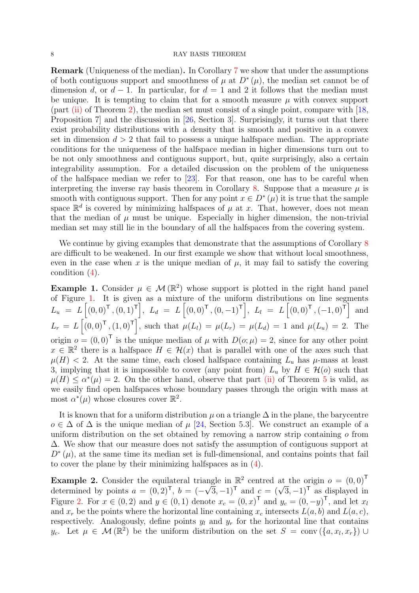Remark (Uniqueness of the median). In Corollary [7](#page-6-0) we show that under the assumptions of both contiguous support and smoothness of  $\mu$  at  $D^*(\mu)$ , the median set cannot be of dimension d, or  $d-1$ . In particular, for  $d=1$  and 2 it follows that the median must be unique. It is tempting to claim that for a smooth measure  $\mu$  with convex support  $\text{(part (ii) of Theorem 2)}$  $\text{(part (ii) of Theorem 2)}$  $\text{(part (ii) of Theorem 2)}$  $\text{(part (ii) of Theorem 2)}$  $\text{(part (ii) of Theorem 2)}$ , the median set must consist of a single point, compare with [\[18](#page-29-12), Proposition 7] and the discussion in [\[26,](#page-30-7) Section 3]. Surprisingly, it turns out that there exist probability distributions with a density that is smooth and positive in a convex set in dimension  $d > 2$  that fail to possess a unique halfspace median. The appropriate conditions for the uniqueness of the halfspace median in higher dimensions turn out to be not only smoothness and contiguous support, but, quite surprisingly, also a certain integrability assumption. For a detailed discussion on the problem of the uniqueness of the halfspace median we refer to  $[23]$ . For that reason, one has to be careful when interpreting the inverse ray basis theorem in Corollary [8.](#page-6-2) Suppose that a measure  $\mu$  is smooth with contiguous support. Then for any point  $x \in D^*(\mu)$  it is true that the sample space  $\mathbb{R}^d$  is covered by minimizing halfspaces of  $\mu$  at x. That, however, does not mean that the median of  $\mu$  must be unique. Especially in higher dimension, the non-trivial median set may still lie in the boundary of all the halfspaces from the covering system.

We continue by giving examples that demonstrate that the assumptions of Corollary [8](#page-6-2) are difficult to be weakened. In our first example we show that without local smoothness, even in the case when x is the unique median of  $\mu$ , it may fail to satisfy the covering condition [\(4\)](#page-3-1).

<span id="page-7-0"></span>**Example 1.** Consider  $\mu \in \mathcal{M}(\mathbb{R}^2)$  whose support is plotted in the right hand panel of Figure [1.](#page-5-0) It is given as a mixture of the uniform distributions on line segments  $L_u = L \left[ (0, 0)^{\mathsf{T}} , (0, 1)^{\mathsf{T}} \right], L_d = L \left[ (0, 0)^{\mathsf{T}} , (0, -1)^{\mathsf{T}} \right], L_l = L \left[ (0, 0)^{\mathsf{T}} , (-1, 0)^{\mathsf{T}} \right]$  and  $L_r = L\left[(0,0)^T,(1,0)^T\right],$  such that  $\mu(L_l) = \mu(L_r) = \mu(L_d) = 1$  and  $\mu(L_u) = 2$ . The origin  $o = (0, 0)^T$  is the unique median of  $\mu$  with  $D(o; \mu) = 2$ , since for any other point  $x \in \mathbb{R}^2$  there is a halfspace  $H \in \mathcal{H}(x)$  that is parallel with one of the axes such that  $\mu(H)$  < 2. At the same time, each closed halfspace containing  $L_u$  has  $\mu$ -mass at least 3, implying that it is impossible to cover (any point from)  $L_u$  by  $H \in \mathcal{H}(o)$  such that  $\mu(H) \leq \alpha^*(\mu) = 2$ . On the other hand, observe that part [\(ii\)](#page-5-2) of Theorem [5](#page-5-1) is valid, as we easily find open halfspaces whose boundary passes through the origin with mass at most  $\alpha^*(\mu)$  whose closures cover  $\mathbb{R}^2$ .

It is known that for a uniform distribution  $\mu$  on a triangle  $\Delta$  in the plane, the barycentre  $o \in \Delta$  of  $\Delta$  is the unique median of  $\mu$  [\[24,](#page-30-3) Section 5.3]. We construct an example of a uniform distribution on the set obtained by removing a narrow strip containing  $\sigma$  from ∆. We show that our measure does not satisfy the assumption of contiguous support at  $D^*(\mu)$ , at the same time its median set is full-dimensional, and contains points that fail to cover the plane by their minimizing halfspaces as in [\(4\)](#page-3-1).

<span id="page-7-1"></span>**Example 2.** Consider the equilateral triangle in  $\mathbb{R}^2$  centred at the origin  $o = (0,0)^T$ determined by points  $a = (0, 2)^T$ ,  $b = (-\sqrt{3}, -1)^T$  and  $c = (\sqrt{3}, -1)^T$  as displayed in Figure [2.](#page-8-1) For  $x \in (0, 2)$  and  $y \in (0, 1)$  denote  $x_c = (0, x)^T$  and  $y_c = (0, -y)^T$ , and let  $x_l$ and  $x_r$  be the points where the horizontal line containing  $x_c$  intersects  $L(a, b)$  and  $L(a, c)$ , respectively. Analogously, define points  $y_l$  and  $y_r$  for the horizontal line that contains  $y_c$ . Let  $\mu \in \mathcal{M}(\mathbb{R}^2)$  be the uniform distribution on the set  $S = \text{conv}(\{a, x_l, x_r\}) \cup$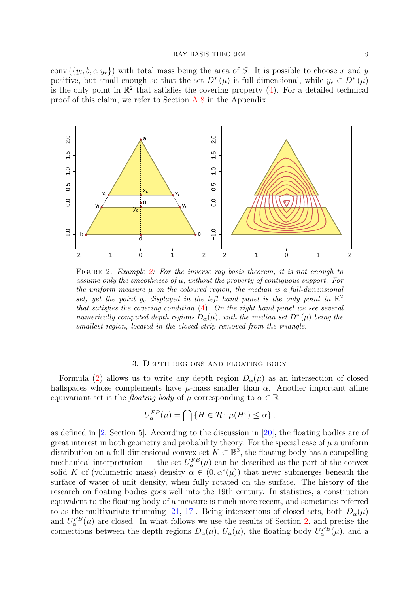conv  $({y_l, b, c, y_r})$  with total mass being the area of S. It is possible to choose x and y positive, but small enough so that the set  $D^*(\mu)$  is full-dimensional, while  $y_c \in D^*(\mu)$ is the only point in  $\mathbb{R}^2$  that satisfies the covering property [\(4\)](#page-3-1). For a detailed technical proof of this claim, we refer to Section [A.8](#page-17-0) in the Appendix.

<span id="page-8-1"></span>

Figure 2. Example [2:](#page-7-1) For the inverse ray basis theorem, it is not enough to assume only the smoothness of  $\mu$ , without the property of contiguous support. For the uniform measure  $\mu$  on the coloured region, the median is a full-dimensional set, yet the point  $y_c$  displayed in the left hand panel is the only point in  $\mathbb{R}^2$ that satisfies the covering condition [\(4\)](#page-3-1). On the right hand panel we see several numerically computed depth regions  $D_{\alpha}(\mu)$ , with the median set  $D^{\ast}(\mu)$  being the smallest region, located in the closed strip removed from the triangle.

## 3. Depth regions and floating body

<span id="page-8-0"></span>Formula [\(2\)](#page-1-1) allows us to write any depth region  $D_{\alpha}(\mu)$  as an intersection of closed halfspaces whose complements have  $\mu$ -mass smaller than  $\alpha$ . Another important affine equivariant set is the *floating body* of  $\mu$  corresponding to  $\alpha \in \mathbb{R}$ 

$$
U_{\alpha}^{FB}(\mu) = \bigcap \{ H \in \mathcal{H} \colon \mu(H^c) \le \alpha \},
$$

as defined in [\[2,](#page-28-0) Section 5]. According to the discussion in [\[20](#page-29-4)], the floating bodies are of great interest in both geometry and probability theory. For the special case of  $\mu$  a uniform distribution on a full-dimensional convex set  $K \subset \mathbb{R}^3$ , the floating body has a compelling mechanical interpretation — the set  $U_{\alpha}^{FB}(\mu)$  can be described as the part of the convex solid K of (volumetric mass) density  $\alpha \in (0, \alpha^*(\mu))$  that never submerges beneath the surface of water of unit density, when fully rotated on the surface. The history of the research on floating bodies goes well into the 19th century. In statistics, a construction equivalent to the floating body of a measure is much more recent, and sometimes referred to as the multivariate trimming [\[21,](#page-29-6) [17](#page-29-7)]. Being intersections of closed sets, both  $D_{\alpha}(\mu)$ and  $U_{\alpha}^{FB}(\mu)$  are closed. In what follows we use the results of Section [2,](#page-3-0) and precise the connections between the depth regions  $D_{\alpha}(\mu)$ ,  $U_{\alpha}(\mu)$ , the floating body  $U_{\alpha}^{FB}(\mu)$ , and a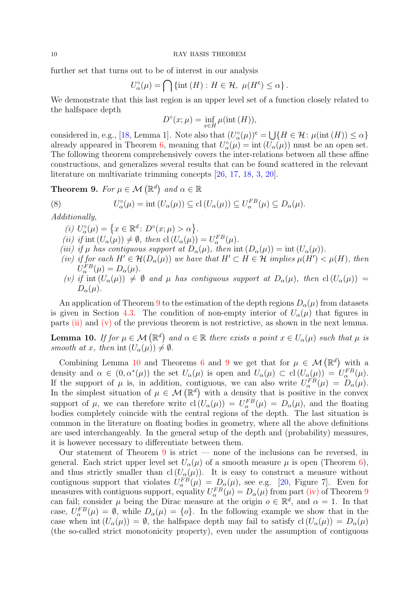further set that turns out to be of interest in our analysis

$$
U_{\alpha}^{\circ}(\mu) = \bigcap \{ \text{int} (H) : H \in \mathcal{H}, \ \mu(H^{\mathsf{c}}) \leq \alpha \}.
$$

We demonstrate that this last region is an upper level set of a function closely related to the halfspace depth

$$
D^{\circ}(x;\mu) = \inf_{x \in H} \mu(\text{int}(H)),
$$

considered in, e.g., [\[18,](#page-29-12) Lemma 1]. Note also that  $(U^{\circ}_{\alpha}(\mu))^{c} = \bigcup \{ H \in \mathcal{H} : \mu(\text{int } (H)) \leq \alpha \}$ already appeared in Theorem [6,](#page-6-1) meaning that  $U^{\circ}_{\alpha}(\mu) = \text{int} (U_{\alpha}(\mu))$  must be an open set. The following theorem comprehensively covers the inter-relations between all these affine constructions, and generalizes several results that can be found scattered in the relevant literature on multivariate trimming concepts [\[26](#page-30-7), [17](#page-29-7), [18,](#page-29-12) [3,](#page-29-13) [20\]](#page-29-4).

<span id="page-9-0"></span>**Theorem 9.** *For*  $\mu \in \mathcal{M}(\mathbb{R}^d)$  and  $\alpha \in \mathbb{R}$ 

(8) 
$$
U_{\alpha}^{\circ}(\mu) = \mathrm{int} (U_{\alpha}(\mu)) \subseteq \mathrm{cl} (U_{\alpha}(\mu)) \subseteq U_{\alpha}^{FB}(\mu) \subseteq D_{\alpha}(\mu).
$$

<span id="page-9-6"></span><span id="page-9-1"></span>*Additionally,*

- <span id="page-9-5"></span> $(i)\ U_{\alpha}^{\circ}(\mu)=\left\{x\in\mathbb{R}^{d}\colon D^{\circ}(x;\mu)>\alpha\right\}.$
- <span id="page-9-7"></span>(*ii*) *if* int  $(U_\alpha(\mu)) \neq \emptyset$ , then  $cl(U_\alpha(\mu)) = U_\alpha^{FB}(\mu)$ .
- <span id="page-9-4"></span>*(iii) if*  $\mu$  *has contiguous support at*  $D_{\alpha}(\mu)$ *, then* int  $(D_{\alpha}(\mu)) = \text{int } (U_{\alpha}(\mu))$ *.*
- *(iv) if for each*  $H' \in \mathcal{H}(D_\alpha(\mu))$  *we have that*  $H' \subset H \in \mathcal{H}$  *implies*  $\mu(H') < \mu(H)$ *, then*  $U_{\alpha}^{FB}(\mu) = D_{\alpha}(\mu).$
- <span id="page-9-2"></span>*(v)* if int  $(U_\alpha(\mu)) \neq \emptyset$  and  $\mu$  has contiguous support at  $D_\alpha(\mu)$ , then  $cl(U_\alpha(\mu))$  =  $D_{\alpha}(\mu)$ .

An application of Theorem [9](#page-9-0) to the estimation of the depth regions  $D_{\alpha}(\mu)$  from datasets is given in Section [4.3.](#page-13-1) The condition of non-empty interior of  $U_{\alpha}(\mu)$  that figures in parts [\(ii\)](#page-9-1) and [\(v\)](#page-9-2) of the previous theorem is not restrictive, as shown in the next lemma.

<span id="page-9-3"></span>**Lemma 10.** If for  $\mu \in \mathcal{M}(\mathbb{R}^d)$  and  $\alpha \in \mathbb{R}$  there exists a point  $x \in U_\alpha(\mu)$  such that  $\mu$  is *smooth at x, then* int  $(U_{\alpha}(\mu)) \neq \emptyset$ .

Combining Lemma [10](#page-9-3) and Theorems [6](#page-6-1) and [9](#page-9-0) we get that for  $\mu \in \mathcal{M}(\mathbb{R}^d)$  with a density and  $\alpha \in (0, \alpha^*(\mu))$  the set  $U_{\alpha}(\mu)$  is open and  $U_{\alpha}(\mu) \subset cl(U_{\alpha}(\mu)) = U_{\alpha}^{FB}(\mu)$ . If the support of  $\mu$  is, in addition, contiguous, we can also write  $U_{\alpha}^{FB}(\mu) = D_{\alpha}(\mu)$ . In the simplest situation of  $\mu \in \mathcal{M}(\mathbb{R}^d)$  with a density that is positive in the convex support of  $\mu$ , we can therefore write  $cl(U_{\alpha}(\mu)) = U_{\alpha}^{FB}(\mu) = D_{\alpha}(\mu)$ , and the floating bodies completely coincide with the central regions of the depth. The last situation is common in the literature on floating bodies in geometry, where all the above definitions are used interchangeably. In the general setup of the depth and (probability) measures, it is however necessary to differentiate between them.

Our statement of Theorem  $9$  is strict — none of the inclusions can be reversed, in general. Each strict upper level set  $U_{\alpha}(\mu)$  of a smooth measure  $\mu$  is open (Theorem [6\)](#page-6-1), and thus strictly smaller than  $cl(U_\alpha(\mu))$ . It is easy to construct a measure without contiguous support that violates  $U_{\alpha}^{FB}(\mu) = D_{\alpha}(\mu)$ , see e.g. [\[20,](#page-29-4) Figure 7]. Even for measures with contiguous support, equality  $U_{\alpha}^{FB}(\mu) = D_{\alpha}(\mu)$  from part [\(iv\)](#page-9-4) of Theorem [9](#page-9-0) can fail; consider  $\mu$  being the Dirac measure at the origin  $o \in \mathbb{R}^d$ , and  $\alpha = 1$ . In that case,  $U_{\alpha}^{FB}(\mu) = \emptyset$ , while  $D_{\alpha}(\mu) = \{o\}$ . In the following example we show that in the case when int  $(U_\alpha(\mu)) = \emptyset$ , the halfspace depth may fail to satisfy  $cl(U_\alpha(\mu)) = D_\alpha(\mu)$ (the so-called strict monotonicity property), even under the assumption of contiguous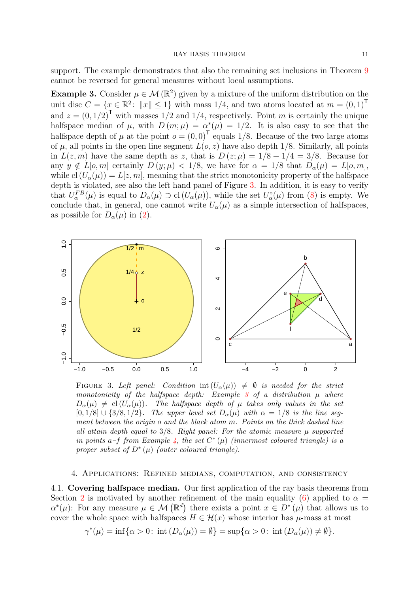support. The example demonstrates that also the remaining set inclusions in Theorem [9](#page-9-0) cannot be reversed for general measures without local assumptions.

<span id="page-10-3"></span>**Example 3.** Consider  $\mu \in \mathcal{M}(\mathbb{R}^2)$  given by a mixture of the uniform distribution on the unit disc  $C = \{x \in \mathbb{R}^2 : ||x|| \leq 1\}$  with mass 1/4, and two atoms located at  $m = (0, 1)^T$ and  $z = (0, 1/2)^T$  with masses  $1/2$  and  $1/4$ , respectively. Point m is certainly the unique halfspace median of  $\mu$ , with  $D(m; \mu) = \alpha^*(\mu) = 1/2$ . It is also easy to see that the halfspace depth of  $\mu$  at the point  $o = (0, 0)^T$  equals 1/8. Because of the two large atoms of  $\mu$ , all points in the open line segment  $L(o, z)$  have also depth 1/8. Similarly, all points in  $L(z, m)$  have the same depth as z, that is  $D(z; \mu) = 1/8 + 1/4 = 3/8$ . Because for any  $y \notin L[\infty, m]$  certainly  $D(y; \mu) < 1/8$ , we have for  $\alpha = 1/8$  that  $D_{\alpha}(\mu) = L[\infty, m]$ , while cl  $(U_{\alpha}(\mu)) = L[z, m]$ , meaning that the strict monotonicity property of the halfspace depth is violated, see also the left hand panel of Figure [3.](#page-10-2) In addition, it is easy to verify that  $U_{\alpha}^{FB}(\mu)$  is equal to  $D_{\alpha}(\mu) \supset cl(U_{\alpha}(\mu))$ , while the set  $U_{\alpha}^{\circ}(\mu)$  from [\(8\)](#page-9-5) is empty. We conclude that, in general, one cannot write  $U_{\alpha}(\mu)$  as a simple intersection of halfspaces, as possible for  $D_{\alpha}(\mu)$  in [\(2\)](#page-1-1).

<span id="page-10-2"></span>

FIGURE 3. Left panel: Condition int  $(U_{\alpha}(\mu)) \neq \emptyset$  is needed for the strict monotonicity of the halfspace depth: Example [3](#page-10-3) of a distribution  $\mu$  where  $D_{\alpha}(\mu) \neq cl(U_{\alpha}(\mu))$ . The halfspace depth of  $\mu$  takes only values in the set  $[0, 1/8] \cup \{3/8, 1/2\}$ . The upper level set  $D_{\alpha}(\mu)$  with  $\alpha = 1/8$  is the line seqment between the origin o and the black atom m. Points on the thick dashed line all attain depth equal to  $3/8$ . Right panel: For the atomic measure  $\mu$  supported in points a-f from Example [4,](#page-11-0) the set  $C^*(\mu)$  (innermost coloured triangle) is a proper subset of  $D^*(\mu)$  (outer coloured triangle).

## <span id="page-10-0"></span>4. Applications: Refined medians, computation, and consistency

<span id="page-10-1"></span>4.1. Covering halfspace median. Our first application of the ray basis theorems from Section [2](#page-3-0) is motivated by another refinement of the main equality [\(6\)](#page-5-3) applied to  $\alpha =$  $\alpha^*(\mu)$ : For any measure  $\mu \in \mathcal{M}(\mathbb{R}^d)$  there exists a point  $x \in D^*(\mu)$  that allows us to cover the whole space with halfspaces  $H \in \mathcal{H}(x)$  whose interior has  $\mu$ -mass at most

$$
\gamma^*(\mu) = \inf \{ \alpha > 0 \colon \operatorname{int} \left( D_\alpha(\mu) \right) = \emptyset \} = \sup \{ \alpha > 0 \colon \operatorname{int} \left( D_\alpha(\mu) \right) \neq \emptyset \}.
$$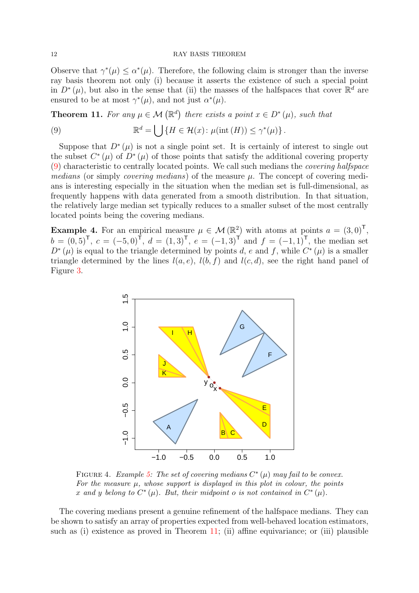Observe that  $\gamma^*(\mu) \leq \alpha^*(\mu)$ . Therefore, the following claim is stronger than the inverse ray basis theorem not only (i) because it asserts the existence of such a special point in  $D^*(\mu)$ , but also in the sense that (ii) the masses of the halfspaces that cover  $\mathbb{R}^d$  are ensured to be at most  $\gamma^*(\mu)$ , and not just  $\alpha^*(\mu)$ .

<span id="page-11-2"></span>**Theorem 11.** For any  $\mu \in \mathcal{M}(\mathbb{R}^d)$  there exists a point  $x \in D^*(\mu)$ , such that

<span id="page-11-1"></span>(9) 
$$
\mathbb{R}^d = \bigcup \{ H \in \mathcal{H}(x) : \mu(\text{int}(H)) \leq \gamma^*(\mu) \}.
$$

Suppose that  $D^*(\mu)$  is not a single point set. It is certainly of interest to single out the subset  $C^*(\mu)$  of  $D^*(\mu)$  of those points that satisfy the additional covering property [\(9\)](#page-11-1) characteristic to centrally located points. We call such medians the *covering halfspace medians* (or simply *covering medians*) of the measure  $\mu$ . The concept of covering medians is interesting especially in the situation when the median set is full-dimensional, as frequently happens with data generated from a smooth distribution. In that situation, the relatively large median set typically reduces to a smaller subset of the most centrally located points being the covering medians.

<span id="page-11-3"></span><span id="page-11-0"></span>**Example 4.** For an empirical measure  $\mu \in \mathcal{M}(\mathbb{R}^2)$  with atoms at points  $a = (3,0)^{\mathsf{T}}$ ,  $b = (0, 5)^{\mathsf{T}}, c = (-5, 0)^{\mathsf{T}}, d = (1, 3)^{\mathsf{T}}, e = (-1, 3)^{\mathsf{T}}$  and  $f = (-1, 1)^{\mathsf{T}}$ , the median set  $D^*(\mu)$  is equal to the triangle determined by points d, e and f, while  $C^*(\mu)$  is a smaller triangle determined by the lines  $l(a, e)$ ,  $l(b, f)$  and  $l(c, d)$ , see the right hand panel of Figure [3.](#page-10-2)



FIGURE 4. Example [5:](#page-12-0) The set of covering medians  $C^*(\mu)$  may fail to be convex. For the measure  $\mu$ , whose support is displayed in this plot in colour, the points x and y belong to  $C^*(\mu)$ . But, their midpoint o is not contained in  $C^*(\mu)$ .

The covering medians present a genuine refinement of the halfspace medians. They can be shown to satisfy an array of properties expected from well-behaved location estimators, such as (i) existence as proved in Theorem [11;](#page-11-2) (ii) affine equivariance; or (iii) plausible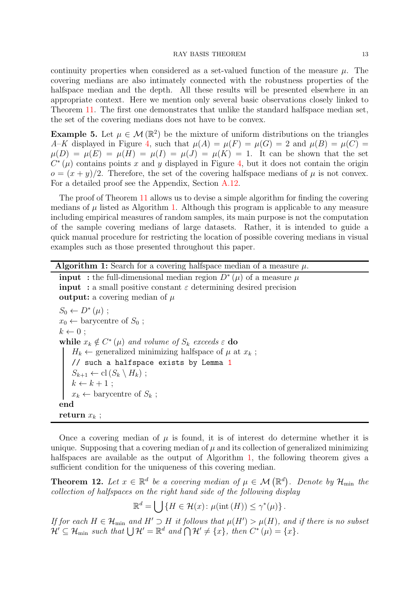continuity properties when considered as a set-valued function of the measure  $\mu$ . The covering medians are also intimately connected with the robustness properties of the halfspace median and the depth. All these results will be presented elsewhere in an appropriate context. Here we mention only several basic observations closely linked to Theorem [11.](#page-11-2) The first one demonstrates that unlike the standard halfspace median set, the set of the covering medians does not have to be convex.

<span id="page-12-0"></span>**Example 5.** Let  $\mu \in \mathcal{M}(\mathbb{R}^2)$  be the mixture of uniform distributions on the triangles *A–K* displayed in Figure [4,](#page-11-3) such that  $\mu(A) = \mu(F) = \mu(G) = 2$  and  $\mu(B) = \mu(C) =$  $\mu(D) = \mu(E) = \mu(H) = \mu(I) = \mu(J) = \mu(K) = 1$ . It can be shown that the set  $C^*(\mu)$  contains points x and y displayed in Figure [4,](#page-11-3) but it does not contain the origin  $o = (x + y)/2$ . Therefore, the set of the covering halfspace medians of  $\mu$  is not convex. For a detailed proof see the Appendix, Section [A.12.](#page-26-0)

The proof of Theorem [11](#page-11-2) allows us to devise a simple algorithm for finding the covering medians of  $\mu$  listed as Algorithm [1.](#page-12-1) Although this program is applicable to any measure including empirical measures of random samples, its main purpose is not the computation of the sample covering medians of large datasets. Rather, it is intended to guide a quick manual procedure for restricting the location of possible covering medians in visual examples such as those presented throughout this paper.

# **Algorithm 1:** Search for a covering halfspace median of a measure  $\mu$ .

| <b>input</b> : the full-dimensional median region $D^*(\mu)$ of a measure $\mu$      |
|--------------------------------------------------------------------------------------|
| <b>input</b> : a small positive constant $\varepsilon$ determining desired precision |
| <b>output:</b> a covering median of $\mu$                                            |

```
S_0 \leftarrow D^*(\mu);
x_0 \leftarrow barycentre of S_0;
k \leftarrow 0:
while x_k \notin C^*(\mu) and volume of S_k exceeds \varepsilon do
    H_k \leftarrow generalized minimizing halfspace of \mu at x_k;
    1
    S_{k+1} \leftarrow \text{cl}(S_k \setminus H_k);
    k \leftarrow k + 1;
   x_k \leftarrow barycentre of S_k;
end
return x_k;
```
<span id="page-12-1"></span>Once a covering median of  $\mu$  is found, it is of interest do determine whether it is unique. Supposing that a covering median of  $\mu$  and its collection of generalized minimizing halfspaces are available as the output of Algorithm [1,](#page-12-1) the following theorem gives a sufficient condition for the uniqueness of this covering median.

<span id="page-12-2"></span>**Theorem 12.** Let  $x \in \mathbb{R}^d$  be a covering median of  $\mu \in \mathcal{M}(\mathbb{R}^d)$ . Denote by  $\mathcal{H}_{\min}$  the *collection of halfspaces on the right hand side of the following display*

$$
\mathbb{R}^d = \bigcup \{ H \in \mathcal{H}(x) \colon \mu(\text{int}(H)) \leq \gamma^*(\mu) \}.
$$

*If for each*  $H \in \mathcal{H}_{min}$  and  $H' \supseteq H$  *it follows that*  $\mu(H') > \mu(H)$ *, and if there is no subset*  $\mathcal{H}' \subseteq \mathcal{H}_{\text{min}}$  such that  $\bigcup \mathcal{H}' = \mathbb{R}^d$  and  $\bigcap \mathcal{H}' \neq \{x\}$ , then  $C^*(\mu) = \{x\}$ .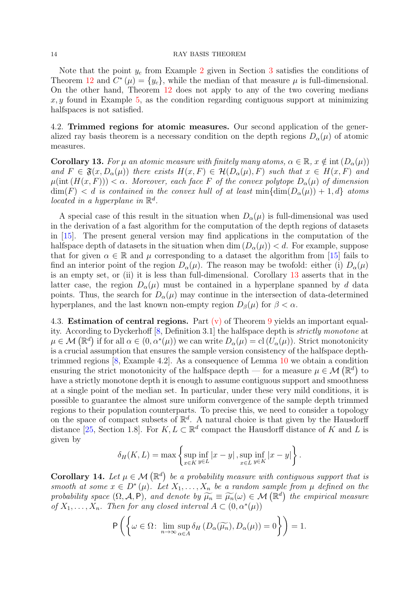Note that the point  $y_c$  from Example [2](#page-7-1) given in Section [3](#page-8-0) satisfies the conditions of Theorem [12](#page-12-2) and  $C^*(\mu) = \{y_c\}$ , while the median of that measure  $\mu$  is full-dimensional. On the other hand, Theorem [12](#page-12-2) does not apply to any of the two covering medians  $x, y$  found in Example [5,](#page-12-0) as the condition regarding contiguous support at minimizing halfspaces is not satisfied.

<span id="page-13-0"></span>4.2. Trimmed regions for atomic measures. Our second application of the generalized ray basis theorem is a necessary condition on the depth regions  $D_{\alpha}(\mu)$  of atomic measures.

<span id="page-13-2"></span>**Corollary 13.** For  $\mu$  an atomic measure with finitely many atoms,  $\alpha \in \mathbb{R}$ ,  $x \notin \text{int}(D_{\alpha}(\mu))$ *and*  $F \in \mathfrak{F}(x, D_\alpha(\mu))$  *there exists*  $H(x, F) \in \mathcal{H}(D_\alpha(\mu), F)$  *such that*  $x \in H(x, F)$  *and*  $\mu(\text{int}(H(x, F))) < \alpha$ . Moreover, each face F of the convex polytope  $D_{\alpha}(\mu)$  of dimension  $\dim(F) < d$  *is contained in the convex hull of at least*  $\min{\dim(D_{\alpha}(\mu)) + 1, d}$  *atoms located in a hyperplane in*  $\mathbb{R}^d$ .

A special case of this result in the situation when  $D_{\alpha}(\mu)$  is full-dimensional was used in the derivation of a fast algorithm for the computation of the depth regions of datasets in [\[15](#page-29-8)]. The present general version may find applications in the computation of the halfspace depth of datasets in the situation when dim  $(D_{\alpha}(\mu)) < d$ . For example, suppose that for given  $\alpha \in \mathbb{R}$  and  $\mu$  corresponding to a dataset the algorithm from [\[15](#page-29-8)] fails to find an interior point of the region  $D_{\alpha}(\mu)$ . The reason may be twofold: either (i)  $D_{\alpha}(\mu)$ is an empty set, or (ii) it is less than full-dimensional. Corollary [13](#page-13-2) asserts that in the latter case, the region  $D_{\alpha}(\mu)$  must be contained in a hyperplane spanned by d data points. Thus, the search for  $D_{\alpha}(\mu)$  may continue in the intersection of data-determined hyperplanes, and the last known non-empty region  $D_\beta(\mu)$  for  $\beta < \alpha$ .

<span id="page-13-1"></span>4.3. **Estimation of central regions.** Part  $(v)$  of Theorem [9](#page-9-0) yields an important equality. According to Dyckerhoff [\[8,](#page-29-9) Definition 3.1] the halfspace depth is *strictly monotone* at  $\mu \in \mathcal{M}(\mathbb{R}^d)$  if for all  $\alpha \in (0, \alpha^*(\mu))$  we can write  $D_{\alpha}(\mu) = \text{cl}(U_{\alpha}(\mu))$ . Strict monotonicity is a crucial assumption that ensures the sample version consistency of the halfspace depthtrimmed regions [\[8](#page-29-9), Example 4.2]. As a consequence of Lemma [10](#page-9-3) we obtain a condition ensuring the strict monotonicity of the halfspace depth — for a measure  $\mu \in \mathcal{M}(\mathbb{R}^d)$  to have a strictly monotone depth it is enough to assume contiguous support and smoothness at a single point of the median set. In particular, under these very mild conditions, it is possible to guarantee the almost sure uniform convergence of the sample depth trimmed regions to their population counterparts. To precise this, we need to consider a topology on the space of compact subsets of  $\mathbb{R}^d$ . A natural choice is that given by the Hausdorff distance [\[25,](#page-30-5) Section 1.8]. For  $K, L \subset \mathbb{R}^d$  compact the Hausdorff distance of K and L is given by

$$
\delta_H(K, L) = \max \left\{ \sup_{x \in K} \inf_{y \in L} |x - y| , \sup_{x \in L} \inf_{y \in K} |x - y| \right\}.
$$

<span id="page-13-3"></span>**Corollary 14.** Let  $\mu \in \mathcal{M}(\mathbb{R}^d)$  be a probability measure with contiguous support that is *smooth at some*  $x \in D^*(\mu)$ *. Let*  $X_1, \ldots, X_n$  *be a random sample from*  $\mu$  *defined on the probability space*  $(\Omega, \mathcal{A}, P)$ *, and denote by*  $\widetilde{\mu_n} \equiv \widetilde{\mu_n}(\omega) \in \mathcal{M}(\mathbb{R}^d)$  *the empirical measure of*  $X_1, \ldots, X_n$ *. Then for any closed interval*  $A \subset (0, \alpha^*(\mu))$ 

$$
\mathsf{P}\left(\left\{\omega \in \Omega \colon \lim_{n \to \infty} \sup_{\alpha \in A} \delta_H\left(D_\alpha(\widetilde{\mu_n}), D_\alpha(\mu)\right) = 0\right\}\right) = 1.
$$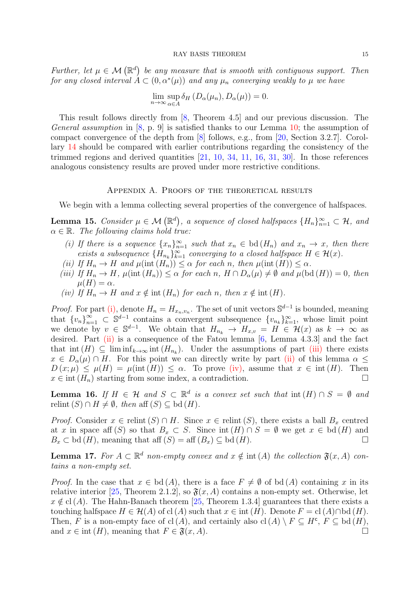*Further, let*  $\mu \in \mathcal{M}(\mathbb{R}^d)$  be any measure that is smooth with contiguous support. Then *for any closed interval*  $A \subset (0, \alpha^*(\mu))$  *and any*  $\mu_n$  *converging weakly to*  $\mu$  *we have* 

$$
\lim_{n \to \infty} \sup_{\alpha \in A} \delta_H (D_\alpha(\mu_n), D_\alpha(\mu)) = 0.
$$

This result follows directly from [\[8,](#page-29-9) Theorem 4.5] and our previous discussion. The *General assumption* in [\[8](#page-29-9), p. 9] is satisfied thanks to our Lemma [10;](#page-9-3) the assumption of compact convergence of the depth from [\[8\]](#page-29-9) follows, e.g., from [\[20](#page-29-4), Section 3.2.7]. Corollary [14](#page-13-3) should be compared with earlier contributions regarding the consistency of the trimmed regions and derived quantities [\[21,](#page-29-6) [10](#page-29-14), [34,](#page-30-1) [11](#page-29-15), [16,](#page-29-16) [31](#page-30-9), [30\]](#page-30-10). In those references analogous consistency results are proved under more restrictive conditions.

## Appendix A. Proofs of the theoretical results

We begin with a lemma collecting several properties of the convergence of halfspaces.

<span id="page-14-5"></span><span id="page-14-1"></span>**Lemma 15.** *Consider*  $\mu \in \mathcal{M}(\mathbb{R}^d)$ , a sequence of closed halfspaces  $\{H_n\}_{n=1}^{\infty} \subset \mathcal{H}$ , and  $\alpha \in \mathbb{R}$ *. The following claims hold true:* 

- *(i)* If there is a sequence  $\{x_n\}_{n=1}^{\infty}$  such that  $x_n \in \text{bd}(H_n)$  and  $x_n \to x$ , then there exists a subsequence  ${H_{n_k}}_{k=1}^{\infty}$  *converging to a closed halfspace*  $H \in \mathcal{H}(x)$ *.*
- <span id="page-14-3"></span><span id="page-14-2"></span> $(iii)$  *If*  $H_n \to H$  *and*  $\mu(\text{int}(H_n)) \leq \alpha$  *for each n, then*  $\mu(\text{int}(H)) \leq \alpha$ .
- *(iii)* If  $H_n \to H$ ,  $\mu(\text{int}(H_n)) \leq \alpha$  for each n,  $H \cap D_\alpha(\mu) \neq \emptyset$  and  $\mu(\text{bd}(H)) = 0$ , then  $\mu(H) = \alpha$ .
- <span id="page-14-4"></span>*(iv)* If  $H_n \to H$  *and*  $x \notin \text{int}(H_n)$  *for each* n, then  $x \notin \text{int}(H)$ *.*

*Proof.* For part [\(i\),](#page-14-1) denote  $H_n = H_{x_n,v_n}$ . The set of unit vectors  $\mathbb{S}^{d-1}$  is bounded, meaning that  ${v_n}_{n=1}^{\infty} \subset \mathbb{S}^{d-1}$  contains a convergent subsequence  ${v_{n_k}}_{k=1}^{\infty}$ , whose limit point we denote by  $v \in \mathbb{S}^{d-1}$ . We obtain that  $H_{n_k} \to H_{x,v} = H \in \mathcal{H}(x)$  as  $k \to \infty$  as desired. Part [\(ii\)](#page-14-2) is a consequence of the Fatou lemma [\[6,](#page-29-17) Lemma 4.3.3] and the fact that  $\text{int}(H) \subseteq \liminf_{k \to \infty} \text{int}(H_{n_k})$ . Under the assumptions of part [\(iii\)](#page-14-3) there exists  $x \in D_{\alpha}(\mu) \cap H$ . For this point we can directly write by part [\(ii\)](#page-14-2) of this lemma  $\alpha$  $D(x; \mu) \leq \mu(H) = \mu(\text{int}(H)) \leq \alpha$ . To prove [\(iv\),](#page-14-4) assume that  $x \in \text{int}(H)$ . Then  $x \in \text{int}(H_n)$  starting from some index, a contradiction.  $x \in \text{int}(H_n)$  starting from some index, a contradiction.

<span id="page-14-6"></span>**Lemma 16.** *If*  $H \in \mathcal{H}$  and  $S \subset \mathbb{R}^d$  is a convex set such that  $\text{int}(H) \cap S = \emptyset$  and relint  $(S) \cap H \neq \emptyset$ , then aff  $(S) \subseteq$  bd  $(H)$ .

*Proof.* Consider  $x \in$  relint  $(S) \cap H$ . Since  $x \in$  relint  $(S)$ , there exists a ball  $B_x$  centred at x in space aff (S) so that  $B_x \subset S$ . Since int  $(H) \cap S = \emptyset$  we get  $x \in \text{bd}(H)$  and  $B_x \subset \text{bd}(H)$ , meaning that aff  $(S) = \text{aff}(B_x) \subset \text{bd}(H)$ .  $B_x \subset \text{bd}(H)$ , meaning that aff  $(S) = \text{aff}(B_x) \subseteq \text{bd}(H)$ .

<span id="page-14-0"></span>Lemma 17. For  $A \subset \mathbb{R}^d$  non-empty convex and  $x \notin \text{int}(A)$  the collection  $\mathfrak{F}(x, A)$  con*tains a non-empty set.*

*Proof.* In the case that  $x \in bd(A)$ , there is a face  $F \neq \emptyset$  of bd  $(A)$  containing x in its relative interior [\[25,](#page-30-5) Theorem 2.1.2], so  $\mathfrak{F}(x, A)$  contains a non-empty set. Otherwise, let  $x \notin cl(A)$ . The Hahn-Banach theorem [\[25,](#page-30-5) Theorem 1.3.4] guarantees that there exists a touching halfspace  $H \in \mathcal{H}(A)$  of cl  $(A)$  such that  $x \in \text{int}(H)$ . Denote  $F = \text{cl}(A) \cap \text{bd}(H)$ . Then, F is a non-empty face of cl(A), and certainly also cl(A)  $\setminus F \subseteq H^c$ ,  $F \subseteq$  bd( $H$ ), and  $x \in \text{int}(H)$ , meaning that  $F \in \mathfrak{F}(x, A)$ .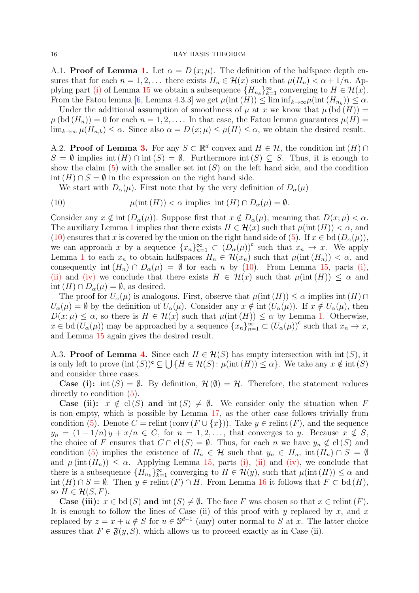A.[1.](#page-3-5) **Proof of Lemma 1.** Let  $\alpha = D(x; \mu)$ . The definition of the halfspace depth ensures that for each  $n = 1, 2, \ldots$  there exists  $H_n \in \mathcal{H}(x)$  such that  $\mu(H_n) < \alpha + 1/n$ . Ap-plying part [\(i\)](#page-14-1) of Lemma [15](#page-14-5) we obtain a subsequence  ${H_{n_k}}_{k=1}^{\infty}$  converging to  $H \in \mathcal{H}(x)$ . From the Fatou lemma [\[6,](#page-29-17) Lemma 4.3.3] we get  $\mu(\text{int}(H)) \leq \liminf_{k \to \infty} \mu(\text{int}(H_{n_k})) \leq \alpha$ .

Under the additional assumption of smoothness of  $\mu$  at x we know that  $\mu$  (bd  $(H)$ ) =  $\mu$  (bd  $(H_n)$ ) = 0 for each  $n = 1, 2, \ldots$  In that case, the Fatou lemma guarantees  $\mu(H)$  =  $\lim_{k\to\infty}\mu(H_{n,k})\leq\alpha$ . Since also  $\alpha=D(x;\mu)\leq\mu(H)\leq\alpha$ , we obtain the desired result.

A.2. **Proof of Lemma [3.](#page-4-0)** For any  $S \subset \mathbb{R}^d$  convex and  $H \in \mathcal{H}$ , the condition int  $(H) \cap$  $S = \emptyset$  implies int  $(H) \cap \text{int}(S) = \emptyset$ . Furthermore int  $(S) \subseteq S$ . Thus, it is enough to show the claim [\(5\)](#page-4-2) with the smaller set int  $(S)$  on the left hand side, and the condition int  $(H) \cap S = \emptyset$  in the expression on the right hand side.

<span id="page-15-0"></span>We start with  $D_{\alpha}(\mu)$ . First note that by the very definition of  $D_{\alpha}(\mu)$ 

(10) 
$$
\mu(\text{int}(H)) < \alpha \text{ implies int}(H) \cap D_{\alpha}(\mu) = \emptyset.
$$

Consider any  $x \notin \text{int}(D_{\alpha}(\mu))$ . Suppose first that  $x \notin D_{\alpha}(\mu)$ , meaning that  $D(x; \mu) < \alpha$ . The auxiliary Lemma [1](#page-3-5) implies that there exists  $H \in \mathcal{H}(x)$  such that  $\mu(\text{int}(H)) < \alpha$ , and [\(10\)](#page-15-0) ensures that x is covered by the union on the right hand side of [\(5\)](#page-4-2). If  $x \in bd(D_{\alpha}(\mu))$ , we can approach x by a sequence  $\{x_n\}_{n=1}^{\infty} \subset (D_{\alpha}(\mu))^c$  such that  $x_n \to x$ . We apply Lemma [1](#page-3-5) to each  $x_n$  to obtain halfspaces  $H_n \in \mathcal{H}(x_n)$  such that  $\mu(\text{int}(H_n)) < \alpha$ , and consequently int  $(H_n) \cap D_\alpha(\mu) = \emptyset$  for each n by [\(10\)](#page-15-0). From Lemma [15,](#page-14-5) parts [\(i\),](#page-14-1) [\(ii\)](#page-14-2) and [\(iv\)](#page-14-4) we conclude that there exists  $H \in \mathcal{H}(x)$  such that  $\mu(\text{int}(H)) \leq \alpha$  and  $\text{int}(H) \cap D_{\alpha}(\mu) = \emptyset$ , as desired.

The proof for  $U_{\alpha}(\mu)$  is analogous. First, observe that  $\mu(\text{int}(H)) \leq \alpha$  implies  $\text{int}(H) \cap$  $U_{\alpha}(\mu) = \emptyset$  by the definition of  $U_{\alpha}(\mu)$ . Consider any  $x \notin \text{int}(U_{\alpha}(\mu))$ . If  $x \notin U_{\alpha}(\mu)$ , then  $D(x; \mu) \leq \alpha$ , so there is  $H \in \mathcal{H}(x)$  such that  $\mu(\text{int}(H)) \leq \alpha$  by Lemma [1.](#page-3-5) Otherwise,  $x \in \mathrm{bd}(U_\alpha(\mu))$  may be approached by a sequence  $\{x_n\}_{n=1}^{\infty} \subset (U_\alpha(\mu))^c$  such that  $x_n \to x$ , and Lemma [15](#page-14-5) again gives the desired result.

A.3. **Proof of Lemma [4.](#page-4-3)** Since each  $H \in \mathcal{H}(S)$  has empty intersection with int  $(S)$ , it is only left to prove  $(\text{int } (S))^c \subseteq \bigcup \{H \in \mathcal{H}(S) : \mu(\text{int } (H)) \leq \alpha\}$ . We take any  $x \notin \text{int } (S)$ and consider three cases.

**Case (i):** int  $(S) = \emptyset$ . By definition,  $\mathcal{H}(\emptyset) = \mathcal{H}$ . Therefore, the statement reduces directly to condition [\(5\)](#page-4-2).

**Case (ii):**  $x \notin cl(S)$  and int  $(S) \neq \emptyset$ . We consider only the situation when F is non-empty, which is possible by Lemma [17,](#page-14-0) as the other case follows trivially from condition [\(5\)](#page-4-2). Denote  $C =$  relint (conv  $(F \cup \{x\})$ ). Take  $y \in$  relint  $(F)$ , and the sequence  $y_n = (1 - 1/n)y + x/n \in C$ , for  $n = 1, 2, \ldots$ , that converges to y. Because  $x \notin S$ , the choice of F ensures that  $C \cap cl(S) = \emptyset$ . Thus, for each n we have  $y_n \notin cl(S)$  and condition [\(5\)](#page-4-2) implies the existence of  $H_n \in \mathcal{H}$  such that  $y_n \in H_n$ , int $(H_n) \cap S = \emptyset$ and  $\mu$  (int  $(H_n)$ )  $\leq \alpha$ . Applying Lemma [15,](#page-14-5) parts [\(i\),](#page-14-1) [\(ii\)](#page-14-2) and [\(iv\),](#page-14-4) we conclude that there is a subsequence  ${H_{n_k}}_{k=1}^{\infty}$  converging to  $H \in \mathcal{H}(y)$ , such that  $\mu(\text{int}(H)) \leq \alpha$  and int  $(H) \cap S = \emptyset$ . Then  $y \in$  relint  $(F) \cap H$ . From Lemma [16](#page-14-6) it follows that  $F \subset$  bd  $(H)$ , so  $H \in \mathcal{H}(S, F)$ .

**Case (iii):**  $x \in bd(S)$  and  $\text{int}(S) \neq \emptyset$ . The face F was chosen so that  $x \in$  relint  $(F)$ . It is enough to follow the lines of Case (ii) of this proof with y replaced by x, and x replaced by  $z = x + u \notin S$  for  $u \in \mathbb{S}^{d-1}$  (any) outer normal to S at x. The latter choice assures that  $F \in \mathfrak{F}(y, S)$ , which allows us to proceed exactly as in Case (ii).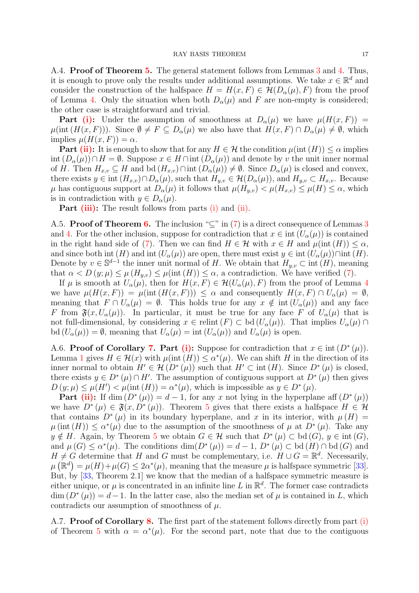A.[4.](#page-4-3) **Proof of Theorem [5.](#page-5-1)** The general statement follows from Lemmas [3](#page-4-0) and 4. Thus, it is enough to prove only the results under additional assumptions. We take  $x \in \mathbb{R}^d$  and consider the construction of the halfspace  $H = H(x, F) \in \mathcal{H}(D_{\alpha}(\mu), F)$  from the proof of Lemma [4.](#page-4-3) Only the situation when both  $D_{\alpha}(\mu)$  and F are non-empty is considered; the other case is straightforward and trivial.

**Part [\(i\):](#page-5-4)** Under the assumption of smoothness at  $D_{\alpha}(\mu)$  we have  $\mu(H(x, F))$  =  $\mu(\text{int}(H(x, F)))$ . Since  $\emptyset \neq F \subseteq D_{\alpha}(\mu)$  we also have that  $H(x, F) \cap D_{\alpha}(\mu) \neq \emptyset$ , which implies  $\mu(H(x, F)) = \alpha$ .

**Part [\(ii\):](#page-5-2)** It is enough to show that for any  $H \in \mathcal{H}$  the condition  $\mu(\text{int}(H)) \leq \alpha$  implies int  $(D_{\alpha}(\mu)) \cap H = \emptyset$ . Suppose  $x \in H \cap \text{int}(D_{\alpha}(\mu))$  and denote by v the unit inner normal of H. Then  $H_{x,v} \subseteq H$  and bd  $(H_{x,v}) \cap \text{int}(D_{\alpha}(\mu)) \neq \emptyset$ . Since  $D_{\alpha}(\mu)$  is closed and convex, there exists  $y \in \text{int } (H_{x,v}) \cap D_{\alpha}(\mu)$ , such that  $H_{y,v} \in \mathcal{H}(D_{\alpha}(\mu))$ , and  $H_{y,v} \subset H_{x,v}$ . Because  $\mu$  has contiguous support at  $D_{\alpha}(\mu)$  it follows that  $\mu(H_{y,v}) < \mu(H_{x,v}) \leq \mu(H) \leq \alpha$ , which is in contradiction with  $y \in D_{\alpha}(\mu)$ .

**Part [\(iii\):](#page-5-5)** The result follows from parts [\(i\)](#page-5-4) and [\(ii\).](#page-5-2)

A.5. **Proof of Theorem [6.](#page-6-1)** The inclusion " $\subseteq$ " in [\(7\)](#page-6-3) is a direct consequence of Lemmas [3](#page-4-0) and [4.](#page-4-3) For the other inclusion, suppose for contradiction that  $x \in \text{int}(U_{\alpha}(\mu))$  is contained in the right hand side of [\(7\)](#page-6-3). Then we can find  $H \in \mathcal{H}$  with  $x \in H$  and  $\mu(\text{int}(H)) \leq \alpha$ , and since both int  $(H)$  and int  $(U_\alpha(\mu))$  are open, there must exist  $y \in \text{int } (U_\alpha(\mu)) \cap \text{int } (H)$ . Denote by  $v \in \mathbb{S}^{d-1}$  the inner unit normal of H. We obtain that  $H_{y,v} \subset \text{int } (H)$ , meaning that  $\alpha < D(y; \mu) \leq \mu(H_{u,v}) \leq \mu(\text{int}(H)) \leq \alpha$ , a contradiction. We have verified [\(7\)](#page-6-3).

If  $\mu$  is smooth at  $U_{\alpha}(\mu)$ , then for  $H(x, F) \in \mathcal{H}(U_{\alpha}(\mu), F)$  from the proof of Lemma [4](#page-4-3) we have  $\mu(H(x, F)) = \mu(\text{int}(H(x, F))) \leq \alpha$  and consequently  $H(x, F) \cap U_{\alpha}(\mu) = \emptyset$ , meaning that  $F \cap U_\alpha(\mu) = \emptyset$ . This holds true for any  $x \notin \text{int}(U_\alpha(\mu))$  and any face F from  $\mathfrak{F}(x, U_{\alpha}(\mu))$ . In particular, it must be true for any face F of  $U_{\alpha}(\mu)$  that is not full-dimensional, by considering  $x \in$  relint  $(F) \subset$  bd  $(U_\alpha(\mu))$ . That implies  $U_\alpha(\mu) \cap$ bd  $(U_{\alpha}(\mu)) = \emptyset$ , meaning that  $U_{\alpha}(\mu) = \text{int} (U_{\alpha}(\mu))$  and  $U_{\alpha}(\mu)$  is open.

<span id="page-16-0"></span>A.6. Proof of Corollary [7.](#page-6-0) Part [\(i\):](#page-6-4) Suppose for contradiction that  $x \in \text{int}(D^*(\mu))$ . Lemma [1](#page-3-5) gives  $H \in \mathcal{H}(x)$  with  $\mu(\text{int}(H)) \leq \alpha^*(\mu)$ . We can shift H in the direction of its inner normal to obtain  $H' \in \mathcal{H}(D^*(\mu))$  such that  $H' \subset \text{int}(H)$ . Since  $D^*(\mu)$  is closed, there exists  $y \in D^*(\mu) \cap H'$ . The assumption of contiguous support at  $D^*(\mu)$  then gives  $D(y; \mu) \leq \mu(H') < \mu(\text{int}(H)) = \alpha^*(\mu)$ , which is impossible as  $y \in D^*(\mu)$ .

**Part** [\(ii\):](#page-6-5) If dim  $(D^*(\mu)) = d - 1$ , for any x not lying in the hyperplane aff  $(D^*(\mu))$ we have  $D^*(\mu) \in \mathfrak{F}(x, D^*(\mu))$ . Theorem [5](#page-5-1) gives that there exists a halfspace  $H \in \mathcal{H}$ that contains  $D^*(\mu)$  in its boundary hyperplane, and x in its interior, with  $\mu(H) =$  $\mu(\text{int}(H)) \leq \alpha^*(\mu)$  due to the assumption of the smoothness of  $\mu$  at  $D^*(\mu)$ . Take any  $y \notin H$ . Again, by Theorem [5](#page-5-1) we obtain  $G \in \mathcal{H}$  such that  $D^*(\mu) \subset \text{bd}(G)$ ,  $y \in \text{int}(G)$ , and  $\mu(G) \le \alpha^*(\mu)$ . The conditions  $\dim(D^*(\mu)) = d - 1$ ,  $D^*(\mu) \subset \text{bd}(H) \cap \text{bd}(G)$  and  $H \neq G$  determine that H and G must be complementary, i.e.  $H \cup G = \mathbb{R}^d$ . Necessarily,  $\mu\left(\mathbb{R}^d\right) = \mu(H) + \mu(G) \leq 2\alpha^*(\mu)$ , meaning that the measure  $\mu$  is halfspace symmetric [\[33\]](#page-30-11). But, by [\[33](#page-30-11), Theorem 2.1] we know that the median of a halfspace symmetric measure is either unique, or  $\mu$  is concentrated in an infinite line L in  $\mathbb{R}^d$ . The former case contradicts  $\dim (D^*(\mu)) = d-1$ . In the latter case, also the median set of  $\mu$  is contained in L, which contradicts our assumption of smoothness of  $\mu$ .

A.7. **Proof of Corollary [8.](#page-6-2)** The first part of the statement follows directly from part [\(i\)](#page-5-4) of Theorem [5](#page-5-1) with  $\alpha = \alpha^*(\mu)$ . For the second part, note that due to the contiguous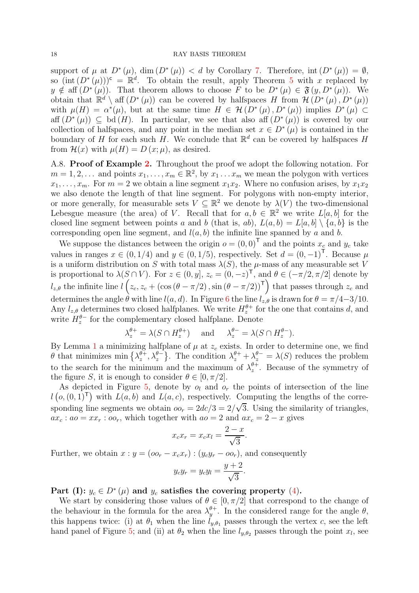support of  $\mu$  at  $D^*(\mu)$ , dim  $(D^*(\mu)) < d$  by Corollary [7.](#page-6-0) Therefore, int  $(D^*(\mu)) = \emptyset$ , so  $(int (D^*(\mu)))^c = \mathbb{R}^d$ . To obtain the result, apply Theorem [5](#page-5-1) with x replaced by  $y \notin \text{aff}(D^*(\mu))$ . That theorem allows to choose F to be  $D^*(\mu) \in \mathfrak{F}(y, D^*(\mu))$ . We obtain that  $\mathbb{R}^d \setminus \text{aff}(D^*(\mu))$  can be covered by halfspaces H from  $\mathcal{H}(D^*(\mu), D^*(\mu))$ with  $\mu(H) = \alpha^*(\mu)$ , but at the same time  $H \in \mathcal{H}(D^*(\mu), D^*(\mu))$  implies  $D^*(\mu) \subset$  $\text{aff}(D^*(\mu)) \subseteq \text{bd}(H)$ . In particular, we see that also aff  $(D^*(\mu))$  is covered by our collection of halfspaces, and any point in the median set  $x \in D^*(\mu)$  is contained in the boundary of H for each such H. We conclude that  $\mathbb{R}^d$  can be covered by halfspaces H from  $\mathcal{H}(x)$  with  $\mu(H) = D(x; \mu)$ , as desired.

<span id="page-17-0"></span>A.8. Proof of Example [2.](#page-7-1) Throughout the proof we adopt the following notation. For  $m = 1, 2, \ldots$  and points  $x_1, \ldots, x_m \in \mathbb{R}^2$ , by  $x_1 \ldots x_m$  we mean the polygon with vertices  $x_1, \ldots, x_m$ . For  $m = 2$  we obtain a line segment  $x_1x_2$ . Where no confusion arises, by  $x_1x_2$ we also denote the length of that line segment. For polygons with non-empty interior, or more generally, for measurable sets  $V \subseteq \mathbb{R}^2$  we denote by  $\lambda(V)$  the two-dimensional Lebesgue measure (the area) of V. Recall that for  $a, b \in \mathbb{R}^2$  we write  $L[a, b]$  for the closed line segment between points a and b (that is, ab),  $L(a, b) = L[a, b] \setminus \{a, b\}$  is the corresponding open line segment, and  $l(a, b)$  the infinite line spanned by a and b.

We suppose the distances between the origin  $o = (0, 0)^T$  and the points  $x_c$  and  $y_c$  take values in ranges  $x \in (0, 1/4)$  and  $y \in (0, 1/5)$ , respectively. Set  $d = (0, -1)^T$ . Because  $\mu$ is a uniform distribution on S with total mass  $\lambda(S)$ , the  $\mu$ -mass of any measurable set V is proportional to  $\lambda(S \cap V)$ . For  $z \in (0, y]$ ,  $z_c = (0, -z)^\mathsf{T}$ , and  $\theta \in (-\pi/2, \pi/2]$  denote by  $l_{z,\theta}$  the infinite line  $l(z_c, z_c + (\cos (\theta - \pi/2), \sin (\theta - \pi/2))^{\mathsf{T}})$  that passes through  $z_c$  and determines the angle  $\theta$  with line  $l(a, d)$ . In Figure [6](#page-19-0) the line  $l_{z, \theta}$  is drawn for  $\theta = \pi/4 - 3/10$ . Any  $l_{z,\theta}$  determines two closed halfplanes. We write  $H_z^{\theta+}$  for the one that contains d, and write  $H_z^{\theta-}$  for the complementary closed halfplane. Denote

$$
\lambda_z^{\theta+} = \lambda(S \cap H_z^{\theta+}) \quad \text{and} \quad \lambda_z^{\theta-} = \lambda(S \cap H_z^{\theta-}).
$$

By Lemma [1](#page-3-5) a minimizing halfplane of  $\mu$  at  $z_c$  exists. In order to determine one, we find  $\theta$  that minimizes min  $\{\lambda_z^{\theta+1}\}$  $\{\theta^{\bar{+}}_z, \lambda_z^{\theta^-}\}$ . The condition  $\lambda_z^{\theta^+} + \lambda_z^{\theta^-} = \lambda(S)$  reduces the problem to the search for the minimum and the maximum of  $\lambda_z^{\theta+}$  $z^{\theta+}$ . Because of the symmetry of the figure S, it is enough to consider  $\theta \in [0, \pi/2]$ .

As depicted in Figure [5,](#page-18-0) denote by  $o_l$  and  $o_r$  the points of intersection of the line  $l(\rho, (0, 1)^T)$  with  $L(a, b)$  and  $L(a, c)$ , respectively. Computing the lengths of the corresponding line segments we obtain  $oo_r = 2dc/3 = 2/\sqrt{3}$ . Using the similarity of triangles,  $ax_c : a_0 = xx_r : oo_r$ , which together with  $ao = 2$  and  $ax_c = 2 - x$  gives

$$
x_c x_r = x_c x_l = \frac{2-x}{\sqrt{3}}.
$$

Further, we obtain  $x : y = (oo_r - x_c x_r) : (y_c y_r - oo_r)$ , and consequently

$$
y_c y_r = y_c y_l = \frac{y+2}{\sqrt{3}}
$$

.

Part (I):  $y_c \in D^*(\mu)$  and  $y_c$  satisfies the covering property [\(4\)](#page-3-1).

We start by considering those values of  $\theta \in [0, \pi/2]$  that correspond to the change of the behaviour in the formula for the area  $\lambda_u^{\theta+}$  $y^{\theta+}$ . In the considered range for the angle  $\theta$ , this happens twice: (i) at  $\theta_1$  when the line  $\tilde{l}_{y,\theta_1}$  passes through the vertex c, see the left hand panel of Figure [5;](#page-18-0) and (ii) at  $\theta_2$  when the line  $l_{y,\theta_2}$  passes through the point  $x_l$ , see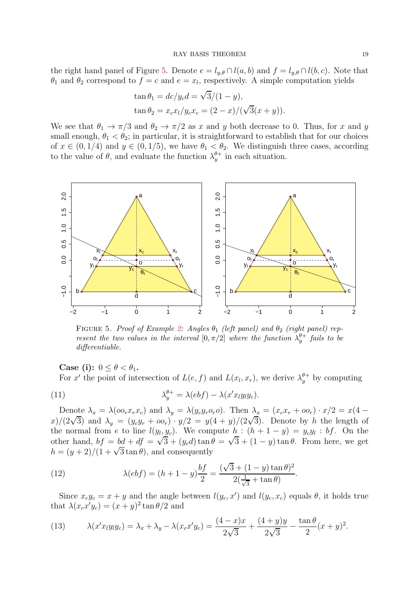the right hand panel of Figure [5.](#page-18-0) Denote  $e = l_{y,\theta} \cap l(a,b)$  and  $f = l_{y,\theta} \cap l(b,c)$ . Note that  $\theta_1$  and  $\theta_2$  correspond to  $f = c$  and  $e = x_l$ , respectively. A simple computation yields

$$
\tan \theta_1 = \frac{dc}{y_c d} = \frac{\sqrt{3}}{(1 - y)},
$$
  
\n
$$
\tan \theta_2 = \frac{x_c x_l}{y_c x_c} = \frac{(2 - x)}{(\sqrt{3}(x + y))}.
$$

We see that  $\theta_1 \to \pi/3$  and  $\theta_2 \to \pi/2$  as x and y both decrease to 0. Thus, for x and y small enough,  $\theta_1 < \theta_2$ ; in particular, it is straightforward to establish that for our choices of  $x \in (0, 1/4)$  and  $y \in (0, 1/5)$ , we have  $\theta_1 < \theta_2$ . We distinguish three cases, according to the value of  $\theta$ , and evaluate the function  $\lambda_u^{\theta+}$  $y^{\theta+}$  in each situation.

<span id="page-18-0"></span>

FIGURE 5. Proof of Example [2:](#page-7-1) Angles  $\theta_1$  (left panel) and  $\theta_2$  (right panel) represent the two values in the interval  $[0, \pi/2]$  where the function  $\lambda_y^{\theta+}$  fails to be differentiable.

Case (i):  $0 \leq \theta < \theta_1$ .

<span id="page-18-3"></span>For x' the point of intersection of  $L(e, f)$  and  $L(x_l, x_r)$ , we derive  $\lambda_y^{\theta+}$  by computing

(11) 
$$
\lambda_y^{\theta+} = \lambda(ebf) - \lambda(x'xy_ly_c).
$$

Denote  $\lambda_x = \lambda(\omega_x x_r x_c)$  and  $\lambda_y = \lambda(y_c y_r \omega_c)$ . Then  $\lambda_x = (x_c x_r + \omega_c) \cdot x/2 = x(4$ x)/(2 $\sqrt{3}$ ) and  $\lambda_y = (y_c y_r + o o_r) \cdot y/2 = y(4 + y)/(2\sqrt{3})$ . Denote by h the length of the normal from e to line  $l(y_l, y_c)$ . We compute  $h : (h + 1 - y) = y_c y_l : bf$ . On the other hand,  $bf = bd + df = \sqrt{3} + (y_c d) \tan \theta = \sqrt{3} + (1 - y) \tan \theta$ . From here, we get  $h = (y+2)/(1+\sqrt{3}\tan\theta)$ , and consequently

<span id="page-18-1"></span>(12) 
$$
\lambda(ebf) = (h+1-y)\frac{bf}{2} = \frac{(\sqrt{3} + (1-y)\tan\theta)^2}{2(\frac{1}{\sqrt{3}} + \tan\theta)}.
$$

Since  $x_c y_c = x + y$  and the angle between  $l(y_c, x')$  and  $l(y_c, x_c)$  equals  $\theta$ , it holds true that  $\lambda(x_c x' y_c) = (x + y)^2 \tan \theta/2$  and

<span id="page-18-2"></span>(13) 
$$
\lambda(x'xy_1y_c) = \lambda_x + \lambda_y - \lambda(x_cx'y_c) = \frac{(4-x)x}{2\sqrt{3}} + \frac{(4+y)y}{2\sqrt{3}} - \frac{\tan\theta}{2}(x+y)^2.
$$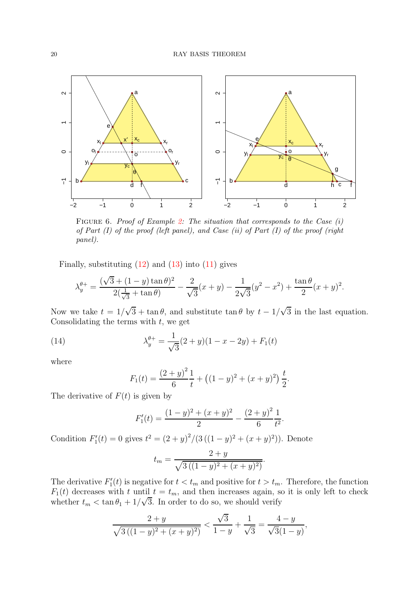<span id="page-19-0"></span>

FIGURE 6. Proof of Example [2:](#page-7-1) The situation that corresponds to the Case  $(i)$ of Part  $(I)$  of the proof (left panel), and Case  $(ii)$  of Part  $(I)$  of the proof (right panel).

Finally, substituting  $(12)$  and  $(13)$  into  $(11)$  gives

$$
\lambda_y^{\theta+} = \frac{(\sqrt{3} + (1-y)\tan\theta)^2}{2(\frac{1}{\sqrt{3}} + \tan\theta)} - \frac{2}{\sqrt{3}}(x+y) - \frac{1}{2\sqrt{3}}(y^2 - x^2) + \frac{\tan\theta}{2}(x+y)^2.
$$

Now we take  $t = 1/\sqrt{3} + \tan \theta$ , and substitute  $\tan \theta$  by  $t - 1/\sqrt{3}$  in the last equation. Consolidating the terms with  $t$ , we get

(14) 
$$
\lambda_y^{\theta+} = \frac{1}{\sqrt{3}}(2+y)(1-x-2y) + F_1(t)
$$

where

<span id="page-19-1"></span>
$$
F_1(t) = \frac{(2+y)^2}{6} \frac{1}{t} + ((1-y)^2 + (x+y)^2) \frac{t}{2}.
$$

The derivative of  $F(t)$  is given by

$$
F_1'(t) = \frac{(1-y)^2 + (x+y)^2}{2} - \frac{(2+y)^2}{6} \frac{1}{t^2}.
$$

Condition  $F_1'(t) = 0$  gives  $t^2 = (2 + y)^2/(3((1 - y)^2 + (x + y)^2))$ . Denote

$$
t_m = \frac{2+y}{\sqrt{3((1-y)^2 + (x+y)^2)}}.
$$

The derivative  $F_1'(t)$  is negative for  $t < t_m$  and positive for  $t > t_m$ . Therefore, the function  $F_1(t)$  decreases with t until  $t = t_m$ , and then increases again, so it is only left to check whether  $t_m < \tan \theta_1 + 1/\sqrt{3}$ . In order to do so, we should verify

$$
\frac{2+y}{\sqrt{3((1-y)^2+(x+y)^2)}} < \frac{\sqrt{3}}{1-y} + \frac{1}{\sqrt{3}} = \frac{4-y}{\sqrt{3}(1-y)},
$$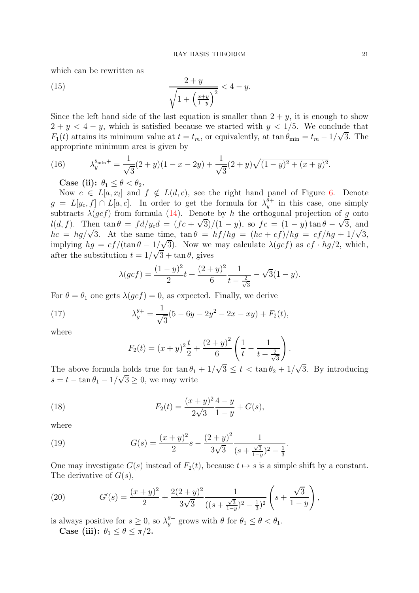which can be rewritten as

<span id="page-20-1"></span>(15) 
$$
\frac{2+y}{\sqrt{1+\left(\frac{x+y}{1-y}\right)^2}} < 4-y.
$$

Since the left hand side of the last equation is smaller than  $2 + y$ , it is enough to show  $2 + y < 4 - y$ , which is satisfied because we started with  $y < 1/5$ . We conclude that  $F_1(t)$  attains its minimum value at  $t = t_m$ , or equivalently, at tan  $\theta_{\min} = t_m - 1/\sqrt{3}$ . The appropriate minimum area is given by

(16) 
$$
\lambda_y^{\theta_{\min}+} = \frac{1}{\sqrt{3}}(2+y)(1-x-2y) + \frac{1}{\sqrt{3}}(2+y)\sqrt{(1-y)^2 + (x+y)^2}.
$$

<span id="page-20-0"></span>Case (ii):  $\theta_1 \leq \theta \leq \theta_2$ .

Now  $e \in L[a, x_i]$  and  $f \notin L(d, c)$ , see the right hand panel of Figure [6.](#page-19-0) Denote  $g = L[y_c, f] \cap L[a, c]$ . In order to get the formula for  $\lambda_y^{\theta+}$  $y^{\theta+}$  in this case, one simply subtracts  $\lambda(gcf)$  from formula [\(14\)](#page-19-1). Denote by h the orthogonal projection of g onto l(d, f). Then  $\tan \theta = fd/y_c d = (fc + \sqrt{3})/(1-y)$ , so  $fc = (1-y) \tan \theta - \sqrt{3}$ , and  $hc = hg/\sqrt{3}$ . At the same time,  $\tan \theta = hf/hg = (hc + cf)/hg = cf/hg + 1/\sqrt{3}$ , implying  $hg = cf/(\tan \theta - 1/\sqrt{3})$ . Now we may calculate  $\lambda(gcf)$  as  $cf \cdot hg/2$ , which, after the substitution  $t = 1/\sqrt{3} + \tan \theta$ , gives

$$
\lambda(gcf) = \frac{(1-y)^2}{2}t + \frac{(2+y)^2}{6}\frac{1}{t-\frac{2}{\sqrt{3}}} - \sqrt{3}(1-y).
$$

For  $\theta = \theta_1$  one gets  $\lambda(gcf) = 0$ , as expected. Finally, we derive

(17) 
$$
\lambda_y^{\theta+} = \frac{1}{\sqrt{3}}(5 - 6y - 2y^2 - 2x - xy) + F_2(t),
$$

where

<span id="page-20-3"></span><span id="page-20-2"></span>
$$
F_2(t) = (x+y)^2 \frac{t}{2} + \frac{(2+y)^2}{6} \left( \frac{1}{t} - \frac{1}{t - \frac{2}{\sqrt{3}}} \right).
$$

The above formula holds true for  $\tan \theta_1 + 1/\sqrt{3} \le t < \tan \theta_2 + 1/\sqrt{3}$ . By introducing  $s = t - \tan \theta_1 - 1/\sqrt{3} \ge 0$ , we may write

(18) 
$$
F_2(t) = \frac{(x+y)^2}{2\sqrt{3}} \frac{4-y}{1-y} + G(s),
$$

where

<span id="page-20-4"></span>(19) 
$$
G(s) = \frac{(x+y)^2}{2}s - \frac{(2+y)^2}{3\sqrt{3}}\frac{1}{(s+\frac{\sqrt{3}}{1-y})^2-\frac{1}{3}}.
$$

One may investigate  $G(s)$  instead of  $F_2(t)$ , because  $t \mapsto s$  is a simple shift by a constant. The derivative of  $G(s)$ ,

<span id="page-20-5"></span>(20) 
$$
G'(s) = \frac{(x+y)^2}{2} + \frac{2(2+y)^2}{3\sqrt{3}} \frac{1}{((s+\frac{\sqrt{3}}{1-y})^2 - \frac{1}{3})^2} \left(s + \frac{\sqrt{3}}{1-y}\right),
$$

is always positive for  $s \geq 0$ , so  $\lambda_y^{\theta^+}$  grows with  $\theta$  for  $\theta_1 \leq \theta < \theta_1$ . Case (iii):  $\theta_1 \leq \theta \leq \pi/2$ .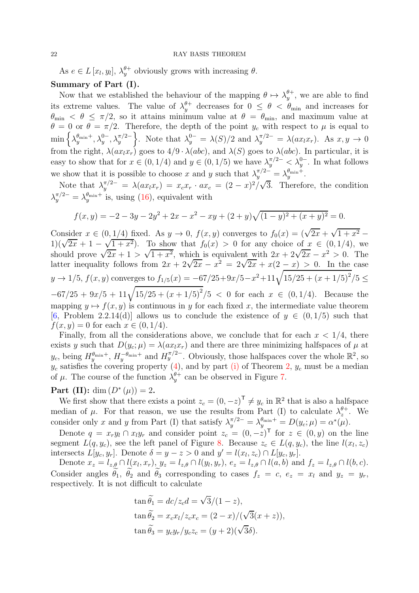As  $e \in L[x_l, y_l], \lambda_y^{\theta+}$  obviously grows with increasing  $\theta$ . Summary of Part (I).

Now that we established the behaviour of the mapping  $\theta \mapsto \lambda_y^{\theta+}$  $y^{\theta+}$ , we are able to find its extreme values. The value of  $\lambda_y^{\theta+}$  decreases for  $0 \le \theta < \theta_{\min}$  and increases for  $\theta_{\rm min} < \theta \leq \pi/2$ , so it attains minimum value at  $\theta = \theta_{\rm min}$ , and maximum value at  $\theta = 0$  or  $\theta = \pi/2$ . Therefore, the depth of the point  $y_c$  with respect to  $\mu$  is equal to  $\min \big\{ \lambda_{y}^{\theta_{\min}+}$  $y^{\theta_{\min}+}, \lambda_y^{0-}, \lambda_y^{\pi/2-}$ }. Note that  $\lambda_y^{0-} = \lambda(S)/2$  and  $\lambda_y^{\pi/2-} = \lambda(ax_lx_r)$ . As  $x, y \to 0$ from the right,  $\lambda(ax_lx_r)$  goes to  $4/9 \cdot \lambda(abc)$ , and  $\lambda(S)$  goes to  $\lambda(abc)$ . In particular, it is easy to show that for  $x \in (0, 1/4)$  and  $y \in (0, 1/5)$  we have  $\lambda_y^{\pi/2-} \leq \lambda_y^{0-}$ . In what follows we show that it is possible to choose x and y such that  $\lambda_y^{\pi/2-} = \lambda_y^{\theta_{\min}+}$  $_y^{\theta_{\min}+}.$ 

Note that  $\lambda_y^{\pi/2-} = \lambda(ax_lx_r) = x_cx_r \cdot ax_c = (2-x)^2/\sqrt{3}$ . Therefore, the condition  $\lambda_y^{\pi/2-}=\lambda_y^{\theta_{\min}+}$  $y_{y}^{\theta_{\min}+}$  is, using  $(16)$ , equivalent with

$$
f(x,y) = -2 - 3y - 2y^{2} + 2x - x^{2} - xy + (2+y)\sqrt{(1-y)^{2} + (x+y)^{2}} = 0.
$$

Consider  $x \in (0, 1/4)$  fixed. As  $y \to 0$ ,  $f(x, y)$  converges to  $f_0(x) = (\sqrt{2x} + \sqrt{1 + x^2} -$ 1)( $\sqrt{2x} + 1 - \sqrt{1 + x^2}$ ). To show that  $f_0(x) > 0$  for any choice of  $x \in (0, 1/4)$ , we should prove  $\sqrt{2x+1} > \sqrt{1+x^2}$ , which is equivalent with  $2x + 2\sqrt{2x} - x^2 > 0$ . The latter inequality follows from  $2x + 2\sqrt{2x} - x^2 = 2\sqrt{2x} + x(2-x) > 0$ . In the case y → 1/5,  $f(x, y)$  converges to  $f_{1/5}(x) = -67/25 + 9x/5 - x^2 + 11\sqrt{15/25 + (x + 1/5)^2}/5 \le$  $-67/25 + 9x/5 + 11\sqrt{15/25 + (x+1/5)^2}/5 < 0$  for each  $x \in (0, 1/4)$ . Because the mapping  $y \mapsto f(x, y)$  is continuous in y for each fixed x, the intermediate value theorem [\[6](#page-29-17), Problem 2.2.14(d)] allows us to conclude the existence of  $y \in (0, 1/5)$  such that  $f(x, y) = 0$  for each  $x \in (0, 1/4)$ .

Finally, from all the considerations above, we conclude that for each  $x < 1/4$ , there exists y such that  $D(y_c; \mu) = \lambda(ax_lx_r)$  and there are three minimizing halfspaces of  $\mu$  at  $y_c$ , being  $H_y^{\theta_{\min}+}$ ,  $H_y^{-\theta_{\min}+}$  and  $H_y^{\pi/2-}$ . Obviously, those halfspaces cover the whole  $\mathbb{R}^2$ , so  $y_c$  satisfies the covering property [\(4\)](#page-3-1), and by part [\(i\)](#page-3-2) of Theorem [2,](#page-3-3)  $y_c$  must be a median of  $\mu$ . The course of the function  $\lambda_u^{\theta+}$  $y^{\theta+}$  can be observed in Figure [7.](#page-22-0)

**Part** (**II**): dim  $(D^*(\mu)) = 2$ .

We first show that there exists a point  $z_c = (0, -z)^T \neq y_c$  in  $\mathbb{R}^2$  that is also a halfspace median of  $\mu$ . For that reason, we use the results from Part (I) to calculate  $\lambda_z^{\theta+}$  $z^{\theta+}$ . We consider only x and y from Part (I) that satisfy  $\lambda_y^{\pi/2-} = \lambda_y^{\theta_{\min}+} = D(y_c; \mu) = \alpha^*(\mu)$ .

Denote  $q = x_r y_l \cap x_l y_r$  and consider point  $z_c = (0, -z)^T$  for  $z \in (0, y)$  on the line segment  $L(q, y_c)$ , see the left panel of Figure [8.](#page-22-1) Because  $z_c \in L(q, y_c)$ , the line  $l(x_l, z_c)$ intersects  $L[y_c, y_r]$ . Denote  $\delta = y - z > 0$  and  $y' = l(x_l, z_c) \cap L[y_c, y_r]$ .

Denote  $x_z = l_{z,\theta} \cap l(x_l, x_r), y_z = l_{z,\theta} \cap l(y_l, y_r), e_z = l_{z,\theta} \cap l(a, b)$  and  $f_z = l_{z,\theta} \cap l(b, c)$ . Consider angles  $\tilde{\theta}_1$ ,  $\tilde{\theta}_2$  and  $\tilde{\theta}_3$  corresponding to cases  $f_z = c$ ,  $e_z = x_l$  and  $y_z = y_r$ , respectively. It is not difficult to calculate

$$
\tan \tilde{\theta}_1 = dc/z_c d = \sqrt{3}/(1-z),
$$
  
\n
$$
\tan \tilde{\theta}_2 = x_c x_l/z_c x_c = (2-x)/(\sqrt{3}(x+z)),
$$
  
\n
$$
\tan \tilde{\theta}_3 = y_c y_r/y_c z_c = (y+2)(\sqrt{3}\delta).
$$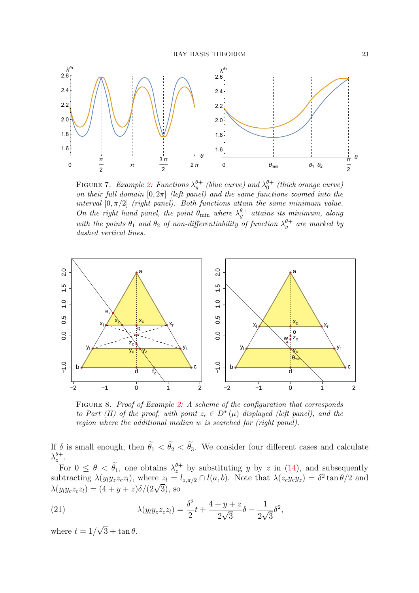<span id="page-22-0"></span>

FIGURE 7. Example [2:](#page-7-1) Functions  $\lambda_y^{\theta+}$  (blue curve) and  $\lambda_0^{\theta+}$  (thick orange curve) on their full domain  $[0, 2\pi]$  (left panel) and the same functions zoomed into the interval  $[0, \pi/2]$  (right panel). Both functions attain the same minimum value. On the right hand panel, the point  $\theta_{\min}$  where  $\lambda_y^{\theta+}$  attains its minimum, along with the points  $\theta_1$  and  $\theta_2$  of non-differentiability of function  $\lambda_y^{\theta+}$  are marked by dashed vertical lines.

<span id="page-22-1"></span>

FIGURE 8. Proof of Example [2:](#page-7-1) A scheme of the configuration that corresponds to Part (II) of the proof, with point  $z_c \in D^*(\mu)$  displayed (left panel), and the region where the additional median w is searched for (right panel).

If  $\delta$  is small enough, then  $\theta_1 < \theta_2 < \theta_3$ . We consider four different cases and calculate  $\lambda_z^{\theta+}$  $\frac{\theta +}{z}$ .

For  $0 \le \theta < \tilde{\theta}_1$ , one obtains  $\lambda_z^{\theta+}$  by substituting y by z in [\(14\)](#page-19-1), and subsequently subtracting  $\lambda(y_l y_z z_c z_l)$ , where  $z_l = l_{z, \pi/2} \cap l(a, b)$ . Note that  $\lambda(z_c y_c y_z) = \delta^2 \tan \theta/2$  and  $\lambda(y_iy_cz_cz_l) = (4 + y + z)\delta/(2\sqrt{3}),$  so

<span id="page-22-2"></span>(21) 
$$
\lambda(y_l y_z z_c z_l) = \frac{\delta^2}{2} t + \frac{4 + y + z}{2\sqrt{3}} \delta - \frac{1}{2\sqrt{3}} \delta^2,
$$

where  $t = 1/\sqrt{3} + \tan \theta$ .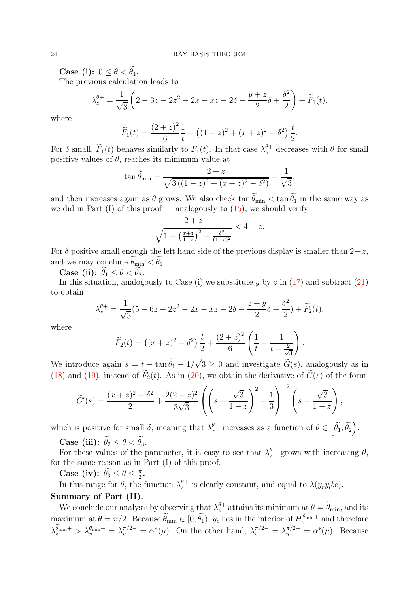Case (i):  $0 \leq \theta < \widetilde{\theta_1}$ .

The previous calculation leads to

$$
\lambda_z^{\theta+} = \frac{1}{\sqrt{3}} \left( 2 - 3z - 2z^2 - 2x - xz - 2\delta - \frac{y+z}{2}\delta + \frac{\delta^2}{2} \right) + \widetilde{F}_1(t),
$$

where

$$
\widetilde{F}_1(t) = \frac{(2+z)^2}{6} \frac{1}{t} + \left( (1-z)^2 + (x+z)^2 - \delta^2 \right) \frac{t}{2}.
$$

For  $\delta$  small,  $\widetilde{F}_1(t)$  behaves similarly to  $F_1(t)$ . In that case  $\lambda_z^{\theta+}$  decreases with  $\theta$  for small positive values of  $\theta$ , reaches its minimum value at

$$
\tan \widetilde{\theta}_{\min} = \frac{2+z}{\sqrt{3((1-z)^2 + (x+z)^2 - \delta^2)}} - \frac{1}{\sqrt{3}},
$$

and then increases again as  $\theta$  grows. We also check  $\tan \theta_{\min} < \tan \theta_1$  in the same way as we did in Part  $(I)$  of this proof — analogously to  $(15)$ , we should verify

$$
\frac{2+z}{\sqrt{1+\left(\frac{x+z}{1-z}\right)^2-\frac{\delta^2}{(1-z)^2}}} < 4-z.
$$

For  $\delta$  positive small enough the left hand side of the previous display is smaller than  $2+z$ , and we may conclude  $\ddot{\theta}_{\min} < \ddot{\theta}_1$ .

Case (ii):  $\ddot{\theta_1} \leq \theta < \ddot{\theta_2}$ .

In this situation, analogously to Case (i) we substitute  $y$  by  $z$  in [\(17\)](#page-20-2) and subtract [\(21\)](#page-22-2) to obtain

$$
\lambda_z^{\theta+} = \frac{1}{\sqrt{3}} (5 - 6z - 2z^2 - 2x - xz - 2\delta - \frac{z+y}{2}\delta + \frac{\delta^2}{2}) + \widetilde{F}_2(t),
$$

where

$$
\widetilde{F}_2(t) = ((x+z)^2 - \delta^2) \frac{t}{2} + \frac{(2+z)^2}{6} \left( \frac{1}{t} - \frac{1}{t - \frac{2}{\sqrt{3}}} \right)
$$

.

We introduce again  $s = t - \tan \tilde{\theta}_1 - 1/\sqrt{3} \ge 0$  and investigate  $\tilde{G}(s)$ , analogously as in [\(18\)](#page-20-3) and [\(19\)](#page-20-4), instead of  $\widetilde{F}_2(t)$ . As in [\(20\)](#page-20-5), we obtain the derivative of  $\widetilde{G}(s)$  of the form

$$
\widetilde{G}'(s) = \frac{(x+z)^2 - \delta^2}{2} + \frac{2(2+z)^2}{3\sqrt{3}} \left( \left( s + \frac{\sqrt{3}}{1-z} \right)^2 - \frac{1}{3} \right)^{-2} \left( s + \frac{\sqrt{3}}{1-z} \right),
$$

which is positive for small  $\delta$ , meaning that  $\lambda_z^{\theta+}$  $\theta^{\dagger}$  increases as a function of  $\theta \in \left\lceil \widetilde{\theta_1}, \widetilde{\theta_2} \right\rceil$ .

Case (iii):  $\widetilde{\theta}_2 \leq \theta < \widetilde{\theta}_3$ .

For these values of the parameter, it is easy to see that  $\lambda_z^{\theta+}$  $z^{\theta+}$  grows with increasing  $\theta$ , for the same reason as in Part (I) of this proof.

Case (iv):  $\theta_3 \le \theta \le \frac{\pi}{2}$  $\frac{\pi}{2}$ .

In this range for  $\theta$ , the function  $\lambda_z^{\theta+}$  $z^{\theta+}_{z}$  is clearly constant, and equal to  $\lambda(y_r y_l bc)$ . Summary of Part (II).

We conclude our analysis by observing that  $\lambda_z^{\theta+}$  attains its minimum at  $\theta = \widetilde{\theta}_{min}$ , and its maximum at  $\theta = \pi/2$ . Because  $\widetilde{\theta}_{\min} \in [0, \widetilde{\theta}_1)$ ,  $y_c$  lies in the interior of  $H_z^{\widetilde{\theta}_{\min}+}$  and therefore  $\lambda_z^{\tilde{\theta}_{\text{min}}+} > \lambda_y^{\theta_{\text{min}}+} = \lambda_y^{\pi/2-} = \alpha^*(\mu)$ . On the other hand,  $\lambda_z^{\pi/2-} = \lambda_y^{\pi/2-} = \alpha^*(\mu)$ . Because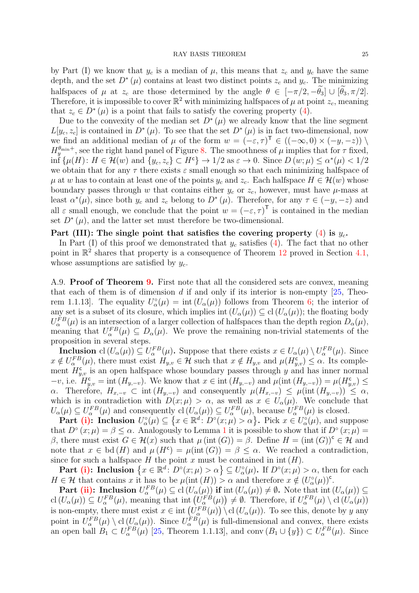by Part (I) we know that  $y_c$  is a median of  $\mu$ , this means that  $z_c$  and  $y_c$  have the same depth, and the set  $D^*(\mu)$  contains at least two distinct points  $z_c$  and  $y_c$ . The minimizing halfspaces of  $\mu$  at  $z_c$  are those determined by the angle  $\theta \in [-\pi/2, -\widetilde{\theta}_3] \cup [\widetilde{\theta}_3, \pi/2]$ . Therefore, it is impossible to cover  $\mathbb{R}^2$  with minimizing halfspaces of  $\mu$  at point  $z_c$ , meaning that  $z_c \in D^*(\mu)$  is a point that fails to satisfy the covering property [\(4\)](#page-3-1).

Due to the convexity of the median set  $D^*(\mu)$  we already know that the line segment  $L[y_c, z_c]$  is contained in  $D^*(\mu)$ . To see that the set  $D^*(\mu)$  is in fact two-dimensional, now we find an additional median of  $\mu$  of the form  $w = (-\varepsilon, \tau)^{\top} \in ((-\infty, 0) \times (-y, -z)) \setminus \mathbb{R}$  $H_y^{\theta_{\min}+}$ , see the right hand panel of Figure [8.](#page-22-1) The smoothness of  $\mu$  implies that for  $\tau$  fixed,  $\inf \{ \mu(H) : H \in \mathcal{H}(w) \text{ and } \{y_c, z_c\} \subset H^c \} \to 1/2 \text{ as } \varepsilon \to 0. \text{ Since } D(w; \mu) \leq \alpha^*(\mu) < 1/2$ we obtain that for any  $\tau$  there exists  $\varepsilon$  small enough so that each minimizing halfspace of  $\mu$  at w has to contain at least one of the points  $y_c$  and  $z_c$ . Each halfspace  $H \in \mathcal{H}(w)$  whose boundary passes through w that contains either  $y_c$  or  $z_c$ , however, must have  $\mu$ -mass at least  $\alpha^*(\mu)$ , since both  $y_c$  and  $z_c$  belong to  $D^*(\mu)$ . Therefore, for any  $\tau \in (-y, -z)$  and all  $\varepsilon$  small enough, we conclude that the point  $w = (-\varepsilon, \tau)^T$  is contained in the median set  $D^*(\mu)$ , and the latter set must therefore be two-dimensional.

# Part (III): The single point that satisfies the covering property  $(4)$  is  $y_c$ .

In Part (I) of this proof we demonstrated that  $y_c$  satisfies [\(4\)](#page-3-1). The fact that no other point in  $\mathbb{R}^2$  shares that property is a consequence of Theorem [12](#page-12-2) proved in Section [4.1,](#page-10-1) whose assumptions are satisfied by  $y_c$ .

A.9. Proof of Theorem [9.](#page-9-0) First note that all the considered sets are convex, meaning that each of them is of dimension d if and only if its interior is non-empty  $[25,$  Theorem 1.1.13. The equality  $U_{\alpha}^{\circ}(\mu) = \text{int} (U_{\alpha}(\mu))$  follows from Theorem [6;](#page-6-1) the interior of any set is a subset of its closure, which implies int  $(U_\alpha(\mu)) \subseteq cl(U_\alpha(\mu))$ ; the floating body  $U_{\alpha}^{FB}(\mu)$  is an intersection of a larger collection of halfspaces than the depth region  $D_{\alpha}(\mu)$ , meaning that  $U_{\alpha}^{FB}(\mu) \subseteq D_{\alpha}(\mu)$ . We prove the remaining non-trivial statements of the proposition in several steps.

**Inclusion** cl  $(U_\alpha(\mu)) \subseteq U_\alpha^{FB}(\mu)$ . Suppose that there exists  $x \in U_\alpha(\mu) \setminus U_\alpha^{FB}(\mu)$ . Since  $x \notin U_{\alpha}^{FB}(\mu)$ , there must exist  $H_{y,v} \in \mathcal{H}$  such that  $x \notin H_{y,v}$  and  $\mu(H_{y,v}^c) \leq \alpha$ . Its complement  $H_{y,v}^{\mathbf{c}}$  is an open halfspace whose boundary passes through y and has inner normal  $-v$ , i.e.  $H_{y,v}^c = \text{int} (H_{y,-v})$ . We know that  $x \in \text{int} (H_{y,-v})$  and  $\mu(\text{int} (H_{y,-v})) = \mu(H_{y,v}^c) \le$  $\alpha$ . Therefore,  $H_{x,-v} \subset \text{int}(H_{y,-v})$  and consequently  $\mu(H_{x,-v}) \leq \mu(\text{int}(H_{y,-v})) \leq \alpha$ , which is in contradiction with  $D(x; \mu) > \alpha$ , as well as  $x \in U_{\alpha}(\mu)$ . We conclude that  $U_{\alpha}(\mu) \subseteq U_{\alpha}^{FB}(\mu)$  and consequently  $cl(U_{\alpha}(\mu)) \subseteq U_{\alpha}^{FB}(\mu)$ , because  $U_{\alpha}^{FB}(\mu)$  is closed.

Part [\(i\):](#page-9-6) Inclusion  $U_{\alpha}^{\circ}(\mu) \subseteq \{x \in \mathbb{R}^d : D^{\circ}(x;\mu) > \alpha\}$ . Pick  $x \in U_{\alpha}^{\circ}(\mu)$ , and suppose that  $D^{\circ}(x;\mu) = \beta \leq \alpha$ . Analogously to Lemma [1](#page-3-5) it is possible to show that if  $D^{\circ}(x;\mu) =$ β, there must exist  $G \in \mathcal{H}(x)$  such that  $\mu$  (int  $(G)$ ) = β. Define  $H = (int(G))^c \in \mathcal{H}$  and note that  $x \in \mathrm{bd}(H)$  and  $\mu(H^c) = \mu(\mathrm{int}(G)) = \beta \leq \alpha$ . We reached a contradiction, since for such a halfspace H the point x must be contained in  $int(H)$ .

Part [\(i\):](#page-9-6) Inclusion  $\{x \in \mathbb{R}^d : D^{\circ}(x; \mu) > \alpha\} \subseteq U_{\alpha}^{\circ}(\mu)$ . If  $D^{\circ}(x; \mu) > \alpha$ , then for each  $H \in \mathcal{H}$  that contains x it has to be  $\mu(\text{int}(H)) > \alpha$  and therefore  $x \notin (U^{\circ}_{\alpha}(\mu))^c$ .

Part [\(ii\):](#page-9-1) Inclusion  $U_{\alpha}^{FB}(\mu) \subseteq \text{cl}(U_{\alpha}(\mu))$  if int  $(U_{\alpha}(\mu)) \neq \emptyset$ . Note that int  $(U_{\alpha}(\mu)) \subseteq$  $\text{cl}(U_{\alpha}(\mu)) \subseteq U_{\alpha}^{FB}(\mu),$  meaning that int  $(\tilde{U}_{\alpha}^{FB}(\mu)) \neq \emptyset$ . Therefore, if  $U_{\alpha}^{FB}(\mu) \setminus \text{cl}(\tilde{U}_{\alpha}(\mu))$ is non-empty, there must exist  $x \in \text{int} \left( \tilde{U}_{\alpha}^{FB}(\mu) \right) \setminus \text{cl} \left( U_{\alpha}(\mu) \right)$ . To see this, denote by y any point in  $U_{\alpha}^{FB}(\mu) \setminus cl(U_{\alpha}(\mu))$ . Since  $U_{\alpha}^{FB}(\mu)$  is full-dimensional and convex, there exists an open ball  $B_1 \subset U_{\alpha}^{FB}(\mu)$  [\[25,](#page-30-5) Theorem 1.1.13], and conv  $(B_1 \cup \{y\}) \subset U_{\alpha}^{FB}(\mu)$ . Since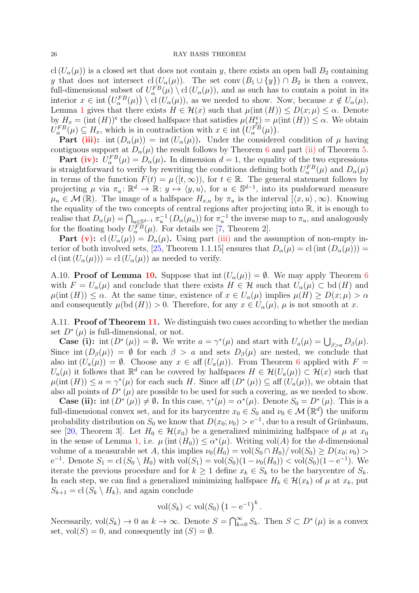cl  $(U_{\alpha}(\mu))$  is a closed set that does not contain y, there exists an open ball  $B_2$  containing y that does not intersect cl  $(U_\alpha(\mu))$ . The set conv  $(B_1 \cup \{y\}) \cap B_2$  is then a convex, full-dimensional subset of  $U_{\alpha}^{FB}(\mu) \setminus cl(U_{\alpha}(\mu))$ , and as such has to contain a point in its interior  $x \in \text{int}\left(U_{\alpha}^{FB}(\mu)\right) \setminus \text{cl}\left(\tilde{U}_{\alpha}(\mu)\right)$ , as we needed to show. Now, because  $x \notin U_{\alpha}(\mu)$ , Lemma [1](#page-3-5) gives that there exists  $H \in \mathcal{H}(x)$  such that  $\mu(\text{int}(H)) \leq D(x;\mu) \leq \alpha$ . Denote by  $H_x = (\text{int } (H))^c$  the closed halfspace that satisfies  $\mu(H_s^c) = \mu(\text{int } (H)) \leq \alpha$ . We obtain  $U_{\alpha}^{FB}(\mu) \subseteq H_x$ , which is in contradiction with  $x \in \text{int}\left(U_{\alpha}^{FB}(\mu)\right)$ .

**Part** [\(iii\):](#page-9-7) int  $(D_{\alpha}(\mu)) = \text{int } (U_{\alpha}(\mu))$ . Under the considered condition of  $\mu$  having contiguous support at  $D_{\alpha}(\mu)$  the result follows by Theorem [6](#page-6-1) and part [\(ii\)](#page-5-2) of Theorem [5.](#page-5-1)

**Part [\(iv\):](#page-9-4)**  $U_{\alpha}^{FB}(\mu) = D_{\alpha}(\mu)$ . In dimension  $d = 1$ , the equality of the two expressions is straightforward to verify by rewriting the conditions defining both  $U_{\alpha}^{FB}(\mu)$  and  $D_{\alpha}(\mu)$ in terms of the function  $F(t) = \mu([t, \infty))$ , for  $t \in \mathbb{R}$ . The general statement follows by projecting  $\mu$  via  $\pi_u : \mathbb{R}^d \to \mathbb{R} : y \mapsto \langle y, u \rangle$ , for  $u \in \mathbb{S}^{d-1}$ , into its pushforward measure  $\mu_u \in \mathcal{M}(\mathbb{R})$ . The image of a halfspace  $H_{x,u}$  by  $\pi_u$  is the interval  $[\langle x, u \rangle, \infty)$ . Knowing the equality of the two concepts of central regions after projecting into R, it is enough to realise that  $D_{\alpha}(\mu) = \bigcap_{u \in \mathbb{S}^{d-1}} \pi_u^{-1} (D_{\alpha}(\mu_u))$  for  $\pi_u^{-1}$  the inverse map to  $\pi_u$ , and analogously for the floating body  $U_{\alpha}^{FB}(\mu)$ . For details see [\[7,](#page-29-18) Theorem 2].

**Part [\(v\):](#page-9-2)** cl  $(U_\alpha(\mu)) = D_\alpha(\mu)$ . Using part [\(iii\)](#page-9-7) and the assumption of non-empty in-terior of both involved sets, [\[25](#page-30-5), Theorem 1.1.15] ensures that  $D_{\alpha}(\mu) = cl (int (D_{\alpha}(\mu)))$ cl (int  $(U_{\alpha}(\mu))) =$  cl  $(U_{\alpha}(\mu))$  as needed to verify.

A.[10.](#page-9-3) **Proof of Lemma 10.** Suppose that  $\text{int}(U_{\alpha}(\mu)) = \emptyset$ . We may apply Theorem [6](#page-6-1) with  $F = U_{\alpha}(\mu)$  and conclude that there exists  $H \in \mathcal{H}$  such that  $U_{\alpha}(\mu) \subset$  bd  $(H)$  and  $\mu(\text{int}(H)) \leq \alpha$ . At the same time, existence of  $x \in U_{\alpha}(\mu)$  implies  $\mu(H) \geq D(x;\mu) > \alpha$ and consequently  $\mu(\text{bd}(H)) > 0$ . Therefore, for any  $x \in U_{\alpha}(\mu)$ ,  $\mu$  is not smooth at x.

A.[11.](#page-11-2) **Proof of Theorem 11.** We distinguish two cases according to whether the median set  $D^*(\mu)$  is full-dimensional, or not.

**Case (i):** int  $(D^*(\mu)) = \emptyset$ . We write  $a = \gamma^*(\mu)$  and start with  $U_a(\mu) = \bigcup_{\beta > a} D_{\beta}(\mu)$ . Since int  $(D_\beta(\mu)) = \emptyset$  for each  $\beta > a$  and sets  $D_\beta(\mu)$  are nested, we conclude that also int  $(U_a(\mu)) = \emptyset$ . Choose any  $x \in \text{aff } (U_a(\mu))$ . From Theorem [6](#page-6-1) applied with  $F =$  $U_a(\mu)$  it follows that  $\mathbb{R}^d$  can be covered by halfspaces  $H \in \mathcal{H}(U_a(\mu)) \subset \mathcal{H}(x)$  such that  $\mu(\text{int}(H)) \le a = \gamma^*(\mu)$  for each such H. Since aff  $(D^*(\mu)) \subseteq \text{aff } (U_a(\mu))$ , we obtain that also all points of  $D^*(\mu)$  are possible to be used for such a covering, as we needed to show.

**Case (ii):** int  $(D^*(\mu)) \neq \emptyset$ . In this case,  $\gamma^*(\mu) = \alpha^*(\mu)$ . Denote  $S_0 = D^*(\mu)$ . This is a full-dimensional convex set, and for its barycentre  $x_0 \in S_0$  and  $\nu_0 \in \mathcal{M}(\mathbb{R}^d)$  the uniform probability distribution on  $S_0$  we know that  $D(x_0; \nu_0) > e^{-1}$ , due to a result of Grünbaum, see [\[20,](#page-29-4) Theorem 3]. Let  $H_0 \in \mathcal{H}(x_0)$  be a generalized minimizing halfspace of  $\mu$  at  $x_0$ in the sense of Lemma [1,](#page-3-5) i.e.  $\mu(\text{int}(H_0)) \leq \alpha^*(\mu)$ . Writing vol(A) for the d-dimensional volume of a measurable set A, this implies  $\nu_0(H_0) = \text{vol}(S_0 \cap H_0) / \text{vol}(S_0) \geq D(x_0; \nu_0)$  $e^{-1}$ . Denote  $S_1 = cl(S_0 \setminus H_0)$  with  $vol(S_1) = vol(S_0)(1 - \nu_0(H_0)) < vol(S_0)(1 - e^{-1})$ . We iterate the previous procedure and for  $k \geq 1$  define  $x_k \in S_k$  to be the barycentre of  $S_k$ . In each step, we can find a generalized minimizing halfspace  $H_k \in \mathcal{H}(x_k)$  of  $\mu$  at  $x_k$ , put  $S_{k+1} = \text{cl}(S_k \setminus H_k)$ , and again conclude

$$
\text{vol}(S_k) < \text{vol}(S_0) \left(1 - e^{-1}\right)^k.
$$

Necessarily,  $vol(S_k) \to 0$  as  $k \to \infty$ . Denote  $S = \bigcap_{k=0}^{\infty} S_k$ . Then  $S \subset D^*(\mu)$  is a convex set,  $vol(S) = 0$ , and consequently int  $(S) = \emptyset$ .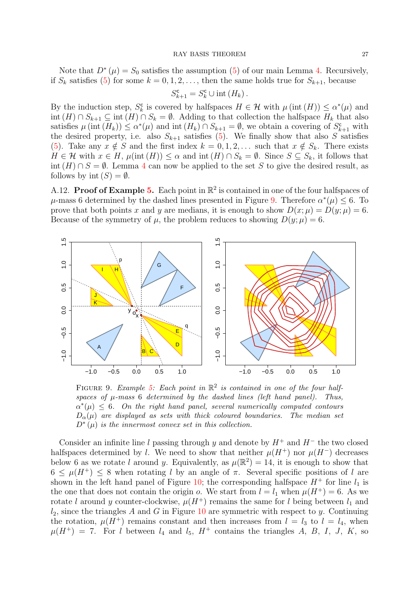Note that  $D^*(\mu) = S_0$  satisfies the assumption [\(5\)](#page-4-2) of our main Lemma [4.](#page-4-3) Recursively, if  $S_k$  satisfies [\(5\)](#page-4-2) for some  $k = 0, 1, 2, \ldots$ , then the same holds true for  $S_{k+1}$ , because

$$
S_{k+1}^{\mathsf{c}} = S_k^{\mathsf{c}} \cup \mathrm{int}(H_k) .
$$

By the induction step,  $S_k^c$  $\mathcal{E}_k^{\mathsf{c}}$  is covered by halfspaces  $H \in \mathcal{H}$  with  $\mu(\text{int}(H)) \leq \alpha^*(\mu)$  and int  $(H) \cap S_{k+1} \subseteq \text{int } (H) \cap S_k = \emptyset$ . Adding to that collection the halfspace  $H_k$  that also satisfies  $\mu$  (int  $(H_k)$ )  $\leq \alpha^*(\mu)$  and int  $(H_k) \cap S_{k+1} = \emptyset$ , we obtain a covering of  $S_{k+1}^c$  with the desired property, i.e. also  $S_{k+1}$  satisfies [\(5\)](#page-4-2). We finally show that also S satisfies [\(5\)](#page-4-2). Take any  $x \notin S$  and the first index  $k = 0, 1, 2, \ldots$  such that  $x \notin S_k$ . There exists  $H \in \mathcal{H}$  with  $x \in H$ ,  $\mu(\text{int}(H)) \leq \alpha$  and  $\text{int}(H) \cap S_k = \emptyset$ . Since  $S \subseteq S_k$ , it follows that int  $(H) \cap S = \emptyset$ . Lemma [4](#page-4-3) can now be applied to the set S to give the desired result, as follows by int  $(S) = \emptyset$ .

<span id="page-26-0"></span>A.12. **Proof of Example [5.](#page-12-0)** Each point in  $\mathbb{R}^2$  is contained in one of the four halfspaces of  $\mu$ -mass 6 determined by the dashed lines presented in Figure [9.](#page-26-1) Therefore  $\alpha^*(\mu) \leq 6$ . To prove that both points x and y are medians, it is enough to show  $D(x; \mu) = D(y; \mu) = 6$ . Because of the symmetry of  $\mu$ , the problem reduces to showing  $D(y; \mu) = 6$ .

<span id="page-26-1"></span>

FIGURE 9. Example [5:](#page-12-0) Each point in  $\mathbb{R}^2$  is contained in one of the four halfspaces of  $\mu$ -mass 6 determined by the dashed lines (left hand panel). Thus,  $\alpha^*(\mu) \leq 6$ . On the right hand panel, several numerically computed contours  $D_{\alpha}(\mu)$  are displayed as sets with thick coloured boundaries. The median set  $D^*(\mu)$  is the innermost convex set in this collection.

Consider an infinite line l passing through y and denote by  $H^+$  and  $H^-$  the two closed halfspaces determined by l. We need to show that neither  $\mu(H^+)$  nor  $\mu(H^-)$  decreases below 6 as we rotate l around y. Equivalently, as  $\mu(\mathbb{R}^2) = 14$ , it is enough to show that  $6 \leq \mu(H^+) \leq 8$  when rotating l by an angle of  $\pi$ . Several specific positions of l are shown in the left hand panel of Figure [10;](#page-27-0) the corresponding halfspace  $H^+$  for line  $l_1$  is the one that does not contain the origin o. We start from  $l = l_1$  when  $\mu(H^+) = 6$ . As we rotate l around y counter-clockwise,  $\mu(H^+)$  remains the same for l being between  $l_1$  and  $l_2$ , since the triangles A and G in Figure [10](#page-27-0) are symmetric with respect to y. Continuing the rotation,  $\mu(H^+)$  remains constant and then increases from  $l = l_3$  to  $l = l_4$ , when  $\mu(H^+) = 7.$  For l between  $l_4$  and  $l_5$ ,  $H^+$  contains the triangles A, B, I, J, K, so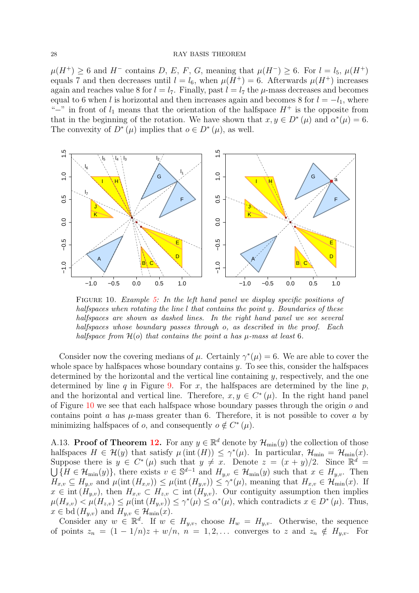$\mu(H^+) \geq 6$  and  $H^-$  contains D, E, F, G, meaning that  $\mu(H^-) \geq 6$ . For  $l = l_5$ ,  $\mu(H^+)$ equals 7 and then decreases until  $l = l_6$ , when  $\mu(H^+) = 6$ . Afterwards  $\mu(H^+)$  increases again and reaches value 8 for  $l = l_7$ . Finally, past  $l = l_7$  the  $\mu$ -mass decreases and becomes equal to 6 when l is horizontal and then increases again and becomes 8 for  $l = -l_1$ , where "−" in front of  $l_1$  means that the orientation of the halfspace  $H^+$  is the opposite from that in the beginning of the rotation. We have shown that  $x, y \in D^*(\mu)$  and  $\alpha^*(\mu) = 6$ . The convexity of  $D^*(\mu)$  implies that  $o \in D^*(\mu)$ , as well.

<span id="page-27-0"></span>

FIGURE 10. Example [5:](#page-12-0) In the left hand panel we display specific positions of halfspaces when rotating the line  $l$  that contains the point  $y$ . Boundaries of these halfspaces are shown as dashed lines. In the right hand panel we see several halfspaces whose boundary passes through o, as described in the proof. Each halfspace from  $\mathcal{H}(o)$  that contains the point a has  $\mu$ -mass at least 6.

Consider now the covering medians of  $\mu$ . Certainly  $\gamma^*(\mu) = 6$ . We are able to cover the whole space by halfspaces whose boundary contains  $\gamma$ . To see this, consider the halfspaces determined by the horizontal and the vertical line containing  $y$ , respectively, and the one determined by line q in Figure [9.](#page-26-1) For x, the halfspaces are determined by the line  $p$ , and the horizontal and vertical line. Therefore,  $x, y \in C^*(\mu)$ . In the right hand panel of Figure [10](#page-27-0) we see that each halfspace whose boundary passes through the origin  $o$  and contains point a has  $\mu$ -mass greater than 6. Therefore, it is not possible to cover a by minimizing halfspaces of  $o$ , and consequently  $o \notin C^*(\mu)$ .

A.13. **Proof of Theorem [12.](#page-12-2)** For any  $y \in \mathbb{R}^d$  denote by  $\mathcal{H}_{\min}(y)$  the collection of those halfspaces  $H \in \mathcal{H}(y)$  that satisfy  $\mu(\text{int}(H)) \leq \gamma^*(\mu)$ . In particular,  $\mathcal{H}_{\text{min}} = \mathcal{H}_{\text{min}}(x)$ . Suppose there is  $y \in C^*(\mu)$  such that  $y \neq x$ . Denote  $z = (x + y)/2$ . Since  $\mathbb{R}^d = \bigcup_{x \in \mathcal{H}_{min}(y)} \{H \in \mathcal{H}_{min}(y)\}\$ , there exists  $v \in \mathbb{S}^{d-1}$  and  $H_{i,v} \in \mathcal{H}_{min}(y)$  such that  $x \in H_{i,v}$ . Then  ${H \in \mathcal{H}_{min}(y)}$ , there exists  $v \in \mathbb{S}^{d-1}$  and  $H_{y,v} \in \mathcal{H}_{min}(y)$  such that  $x \in H_{y,v}$ . Then  $H_{x,v} \subseteq H_{y,v}$  and  $\mu(\text{int}(H_{x,v})) \leq \mu(\text{int}(H_{y,v})) \leq \gamma^*(\mu)$ , meaning that  $H_{x,v} \in \mathcal{H}_{\text{min}}(x)$ . If  $x \in \text{int}(\tilde{H}_{y,v}),$  then  $H_{x,v} \subset H_{z,v} \subset \text{int}(\tilde{H}_{y,v}).$  Our contiguity assumption then implies  $\mu(H_{x,v}) \leq \mu(H_{z,v}) \leq \mu(\text{int } (H_{y,v})) \leq \gamma^*(\mu) \leq \alpha^*(\mu)$ , which contradicts  $x \in D^*(\mu)$ . Thus,  $x \in \text{bd}(H_{y,v})$  and  $H_{y,v} \in \mathcal{H}_{\text{min}}(x)$ .

Consider any  $w \in \mathbb{R}^d$ . If  $w \in H_{y,v}$ , choose  $H_w = H_{y,v}$ . Otherwise, the sequence of points  $z_n = (1 - 1/n)z + w/n$ ,  $n = 1, 2, \ldots$  converges to z and  $z_n \notin H_{y,v}$ . For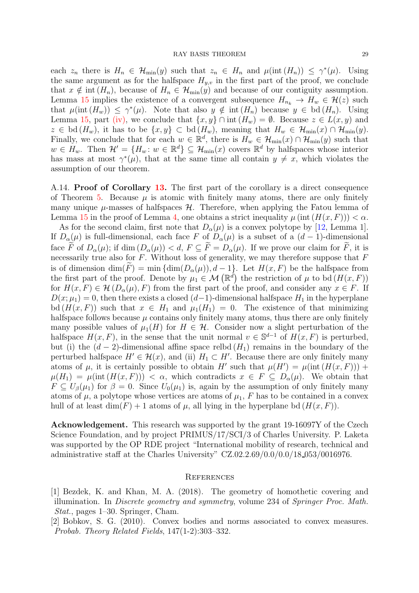each  $z_n$  there is  $H_n \in \mathcal{H}_{\min}(y)$  such that  $z_n \in H_n$  and  $\mu(\text{int}(H_n)) \leq \gamma^*(\mu)$ . Using the same argument as for the halfspace  $H_{y,v}$  in the first part of the proof, we conclude that  $x \notin \text{int } (H_n)$ , because of  $H_n \in \mathcal{H}_{\text{min}}(y)$  and because of our contiguity assumption. Lemma [15](#page-14-5) implies the existence of a convergent subsequence  $H_{n_k} \to H_w \in \mathcal{H}(z)$  such that  $\mu(\text{int}(H_w)) \leq \gamma^*(\mu)$ . Note that also  $y \notin \text{int}(H_n)$  because  $y \in \text{bd}(H_n)$ . Using Lemma [15,](#page-14-5) part [\(iv\),](#page-14-4) we conclude that  $\{x, y\} \cap \text{int}(H_w) = \emptyset$ . Because  $z \in L(x, y)$  and  $z \in bd(H_w)$ , it has to be  $\{x, y\} \subset bd(H_w)$ , meaning that  $H_w \in \mathcal{H}_{min}(x) \cap \mathcal{H}_{min}(y)$ . Finally, we conclude that for each  $w \in \mathbb{R}^d$ , there is  $H_w \in \mathcal{H}_{min}(x) \cap \mathcal{H}_{min}(y)$  such that  $w \in H_w$ . Then  $\mathcal{H}' = \{H_w : w \in \mathbb{R}^d\} \subseteq \mathcal{H}_{\min}(x)$  covers  $\mathbb{R}^d$  by halfspaces whose interior has mass at most  $\gamma^*(\mu)$ , that at the same time all contain  $y \neq x$ , which violates the assumption of our theorem.

A.14. Proof of Corollary [13.](#page-13-2) The first part of the corollary is a direct consequence of Theorem [5.](#page-5-1) Because  $\mu$  is atomic with finitely many atoms, there are only finitely many unique  $\mu$ -masses of halfspaces  $\mathcal{H}$ . Therefore, when applying the Fatou lemma of Lemma [15](#page-14-5) in the proof of Lemma [4,](#page-4-3) one obtains a strict inequality  $\mu$  (int  $(H(x, F)) < \alpha$ .

As for the second claim, first note that  $D_{\alpha}(\mu)$  is a convex polytope by [\[12](#page-29-19), Lemma 1]. If  $D_{\alpha}(\mu)$  is full-dimensional, each face F of  $D_{\alpha}(\mu)$  is a subset of a  $(d-1)$ -dimensional face  $\widetilde{F}$  of  $D_{\alpha}(\mu)$ ; if dim  $(D_{\alpha}(\mu)) < d$ ,  $F \subseteq \widetilde{F} = D_{\alpha}(\mu)$ . If we prove our claim for  $\widetilde{F}$ , it is necessarily true also for  $F$ . Without loss of generality, we may therefore suppose that  $F$ is of dimension  $\dim(\tilde{F}) = \min \{ \dim(D_{\alpha}(\mu)), d - 1 \}$ . Let  $H(x, F)$  be the halfspace from the first part of the proof. Denote by  $\mu_1 \in \mathcal{M}(\mathbb{R}^d)$  the restriction of  $\mu$  to bd  $(H(x, F))$ for  $H(x, F) \in \mathcal{H}(D_{\alpha}(\mu), F)$  from the first part of the proof, and consider any  $x \in F$ . If  $D(x; \mu_1) = 0$ , then there exists a closed  $(d-1)$ -dimensional halfspace  $H_1$  in the hyperplane bd  $(H(x, F))$  such that  $x \in H_1$  and  $\mu_1(H_1) = 0$ . The existence of that minimizing halfspace follows because  $\mu$  contains only finitely many atoms, thus there are only finitely many possible values of  $\mu_1(H)$  for  $H \in \mathcal{H}$ . Consider now a slight perturbation of the halfspace  $H(x, F)$ , in the sense that the unit normal  $v \in \mathbb{S}^{d-1}$  of  $H(x, F)$  is perturbed, but (i) the  $(d-2)$ -dimensional affine space relbd  $(H_1)$  remains in the boundary of the perturbed halfspace  $H' \in \mathcal{H}(x)$ , and (ii)  $H_1 \subset H'$ . Because there are only finitely many atoms of  $\mu$ , it is certainly possible to obtain H' such that  $\mu(H') = \mu(\text{int}(H(x, F))) +$  $\mu(H_1) = \mu(\text{int}(H(x, F))) < \alpha$ , which contradicts  $x \in F \subseteq D_\alpha(\mu)$ . We obtain that  $F \subseteq U_\beta(\mu_1)$  for  $\beta = 0$ . Since  $U_0(\mu_1)$  is, again by the assumption of only finitely many atoms of  $\mu$ , a polytope whose vertices are atoms of  $\mu_1$ , F has to be contained in a convex hull of at least  $\dim(F) + 1$  atoms of  $\mu$ , all lying in the hyperplane bd  $(H(x, F))$ .

Acknowledgement. This research was supported by the grant 19-16097Y of the Czech Science Foundation, and by project PRIMUS/17/SCI/3 of Charles University. P. Laketa was supported by the OP RDE project "International mobility of research, technical and administrative staff at the Charles University" CZ.02.2.69/0.0/0.0/18 053/0016976.

### **REFERENCES**

- <span id="page-28-1"></span>[1] Bezdek, K. and Khan, M. A. (2018). The geometry of homothetic covering and illumination. In *Discrete geometry and symmetry*, volume 234 of *Springer Proc. Math. Stat.*, pages 1–30. Springer, Cham.
- <span id="page-28-0"></span>[2] Bobkov, S. G. (2010). Convex bodies and norms associated to convex measures. *Probab. Theory Related Fields*, 147(1-2):303–332.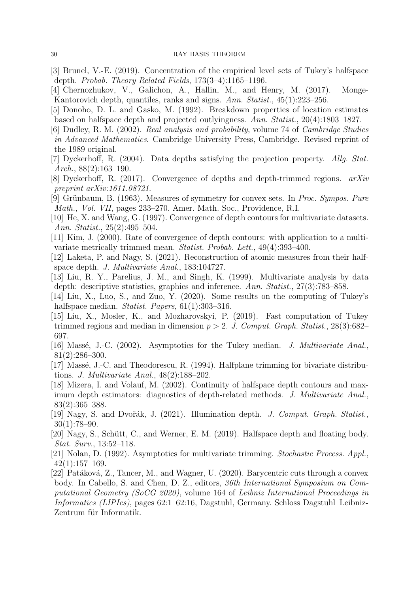- <span id="page-29-13"></span>[3] Brunel, V.-E. (2019). Concentration of the empirical level sets of Tukey's halfspace depth. *Probab. Theory Related Fields*, 173(3–4):1165–1196.
- <span id="page-29-1"></span>[4] Chernozhukov, V., Galichon, A., Hallin, M., and Henry, M. (2017). Monge-Kantorovich depth, quantiles, ranks and signs. *Ann. Statist.*, 45(1):223–256.
- <span id="page-29-2"></span>[5] Donoho, D. L. and Gasko, M. (1992). Breakdown properties of location estimates based on halfspace depth and projected outlyingness. *Ann. Statist.*, 20(4):1803–1827.
- <span id="page-29-17"></span>[6] Dudley, R. M. (2002). *Real analysis and probability*, volume 74 of *Cambridge Studies in Advanced Mathematics*. Cambridge University Press, Cambridge. Revised reprint of the 1989 original.
- <span id="page-29-18"></span>[7] Dyckerhoff, R. (2004). Data depths satisfying the projection property. *Allg. Stat. Arch.*, 88(2):163–190.
- <span id="page-29-9"></span>[8] Dyckerhoff, R. (2017). Convergence of depths and depth-trimmed regions. *arXiv preprint arXiv:1611.08721*.
- <span id="page-29-3"></span>[9] Grünbaum, B. (1963). Measures of symmetry for convex sets. In *Proc. Sympos. Pure Math., Vol. VII*, pages 233–270. Amer. Math. Soc., Providence, R.I.
- <span id="page-29-14"></span>[10] He, X. and Wang, G. (1997). Convergence of depth contours for multivariate datasets. *Ann. Statist.*, 25(2):495–504.
- <span id="page-29-15"></span>[11] Kim, J. (2000). Rate of convergence of depth contours: with application to a multivariate metrically trimmed mean. *Statist. Probab. Lett.*, 49(4):393–400.
- <span id="page-29-19"></span>[12] Laketa, P. and Nagy, S. (2021). Reconstruction of atomic measures from their halfspace depth. *J. Multivariate Anal.*, 183:104727.
- <span id="page-29-0"></span>[13] Liu, R. Y., Parelius, J. M., and Singh, K. (1999). Multivariate analysis by data depth: descriptive statistics, graphics and inference. *Ann. Statist.*, 27(3):783–858.
- <span id="page-29-11"></span>[14] Liu, X., Luo, S., and Zuo, Y. (2020). Some results on the computing of Tukey's halfspace median. *Statist. Papers*, 61(1):303–316.
- <span id="page-29-8"></span>[15] Liu, X., Mosler, K., and Mozharovskyi, P. (2019). Fast computation of Tukey trimmed regions and median in dimension p > 2. *J. Comput. Graph. Statist.*, 28(3):682– 697.
- <span id="page-29-16"></span>[16] Massé, J.-C. (2002). Asymptotics for the Tukey median. *J. Multivariate Anal.*, 81(2):286–300.
- <span id="page-29-7"></span>[17] Massé, J.-C. and Theodorescu, R. (1994). Halfplane trimming for bivariate distributions. *J. Multivariate Anal.*, 48(2):188–202.
- <span id="page-29-12"></span>[18] Mizera, I. and Volauf, M. (2002). Continuity of halfspace depth contours and maximum depth estimators: diagnostics of depth-related methods. *J. Multivariate Anal.*, 83(2):365–388.
- <span id="page-29-10"></span>[19] Nagy, S. and Dvoˇr´ak, J. (2021). Illumination depth. *J. Comput. Graph. Statist.*,  $30(1):78-90.$
- <span id="page-29-4"></span>[20] Nagy, S., Schütt, C., and Werner, E. M. (2019). Halfspace depth and floating body. *Stat. Surv.*, 13:52–118.
- <span id="page-29-6"></span>[21] Nolan, D. (1992). Asymptotics for multivariate trimming. *Stochastic Process. Appl.*, 42(1):157–169.
- <span id="page-29-5"></span>[22] Patáková, Z., Tancer, M., and Wagner, U. (2020). Barycentric cuts through a convex body. In Cabello, S. and Chen, D. Z., editors, *36th International Symposium on Computational Geometry (SoCG 2020)*, volume 164 of *Leibniz International Proceedings in Informatics (LIPIcs)*, pages 62:1–62:16, Dagstuhl, Germany. Schloss Dagstuhl–Leibniz-Zentrum für Informatik.